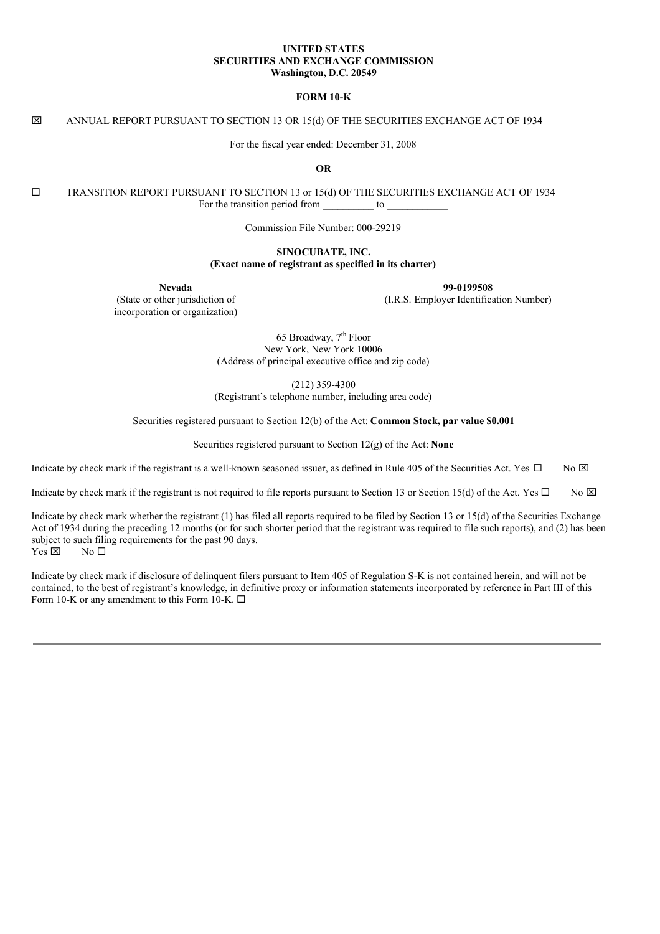### **UNITED STATES SECURITIES AND EXCHANGE COMMISSION Washington, D.C. 20549**

### **FORM 10-K**

### x ANNUAL REPORT PURSUANT TO SECTION 13 OR 15(d) OF THE SECURITIES EXCHANGE ACT OF 1934

For the fiscal year ended: December 31, 2008

**OR**

¨ TRANSITION REPORT PURSUANT TO SECTION 13 or 15(d) OF THE SECURITIES EXCHANGE ACT OF 1934 For the transition period from to  $\sim$ 

Commission File Number: 000-29219

### **SINOCUBATE, INC. (Exact name of registrant as specified in its charter)**

(State or other jurisdiction of incorporation or organization)

**Nevada 99-0199508**

(I.R.S. Employer Identification Number)

65 Broadway, 7<sup>th</sup> Floor New York, New York 10006 (Address of principal executive office and zip code)

(212) 359-4300 (Registrant's telephone number, including area code)

Securities registered pursuant to Section 12(b) of the Act: **Common Stock, par value \$0.001**

Securities registered pursuant to Section 12(g) of the Act: **None**

Indicate by check mark if the registrant is a well-known seasoned issuer, as defined in Rule 405 of the Securities Act. Yes  $\Box$  No  $\boxtimes$ 

Indicate by check mark if the registrant is not required to file reports pursuant to Section 13 or Section 15(d) of the Act. Yes  $\Box$  No  $\boxtimes$ 

Indicate by check mark whether the registrant (1) has filed all reports required to be filed by Section 13 or 15(d) of the Securities Exchange Act of 1934 during the preceding 12 months (or for such shorter period that the registrant was required to file such reports), and (2) has been subject to such filing requirements for the past 90 days.  $Yes \boxtimes$  No  $\square$ 

Indicate by check mark if disclosure of delinquent filers pursuant to Item 405 of Regulation S-K is not contained herein, and will not be contained, to the best of registrant's knowledge, in definitive proxy or information statements incorporated by reference in Part III of this Form 10-K or any amendment to this Form 10-K.  $\Box$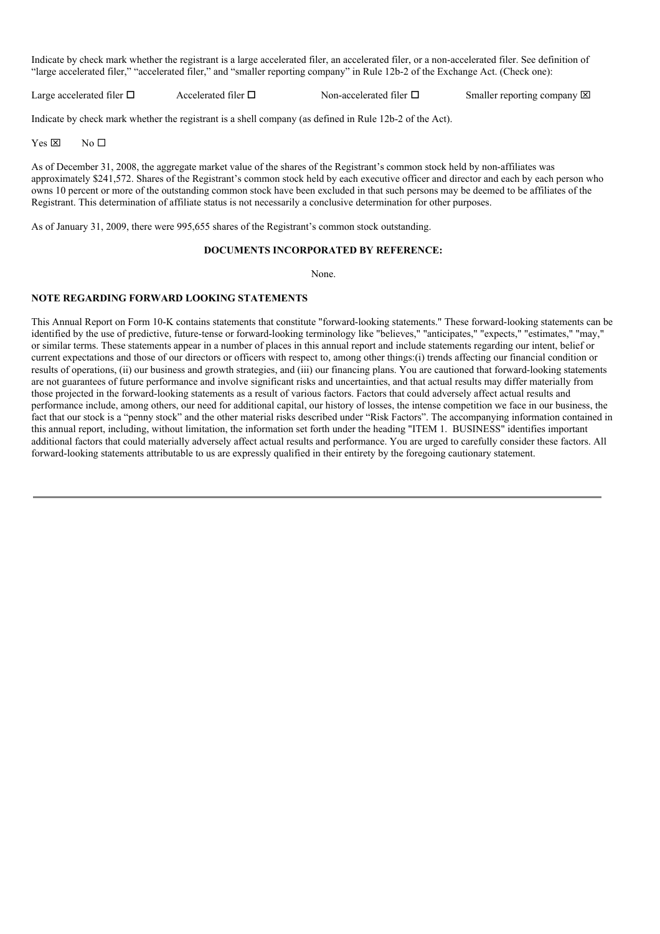Indicate by check mark whether the registrant is a large accelerated filer, an accelerated filer, or a non-accelerated filer. See definition of "large accelerated filer," "accelerated filer," and "smaller reporting company" in Rule 12b-2 of the Exchange Act. (Check one):

Large accelerated filer  $\Box$  Accelerated filer  $\Box$  Non-accelerated filer  $\Box$  Smaller reporting company  $\boxtimes$ 

Indicate by check mark whether the registrant is a shell company (as defined in Rule 12b-2 of the Act).

 $Yes \boxtimes$  No  $\square$ 

As of December 31, 2008, the aggregate market value of the shares of the Registrant's common stock held by non-affiliates was approximately \$241,572. Shares of the Registrant's common stock held by each executive officer and director and each by each person who owns 10 percent or more of the outstanding common stock have been excluded in that such persons may be deemed to be affiliates of the Registrant. This determination of affiliate status is not necessarily a conclusive determination for other purposes.

As of January 31, 2009, there were 995,655 shares of the Registrant's common stock outstanding.

### **DOCUMENTS INCORPORATED BY REFERENCE:**

None.

### **NOTE REGARDING FORWARD LOOKING STATEMENTS**

This Annual Report on Form 10-K contains statements that constitute "forward-looking statements." These forward-looking statements can be identified by the use of predictive, future-tense or forward-looking terminology like "believes," "anticipates," "expects," "estimates," "may," or similar terms. These statements appear in a number of places in this annual report and include statements regarding our intent, belief or current expectations and those of our directors or officers with respect to, among other things:(i) trends affecting our financial condition or results of operations, (ii) our business and growth strategies, and (iii) our financing plans. You are cautioned that forward-looking statements are not guarantees of future performance and involve significant risks and uncertainties, and that actual results may differ materially from those projected in the forward-looking statements as a result of various factors. Factors that could adversely affect actual results and performance include, among others, our need for additional capital, our history of losses, the intense competition we face in our business, the fact that our stock is a "penny stock" and the other material risks described under "Risk Factors". The accompanying information contained in this annual report, including, without limitation, the information set forth under the heading "ITEM 1. BUSINESS" identifies important additional factors that could materially adversely affect actual results and performance. You are urged to carefully consider these factors. All forward-looking statements attributable to us are expressly qualified in their entirety by the foregoing cautionary statement.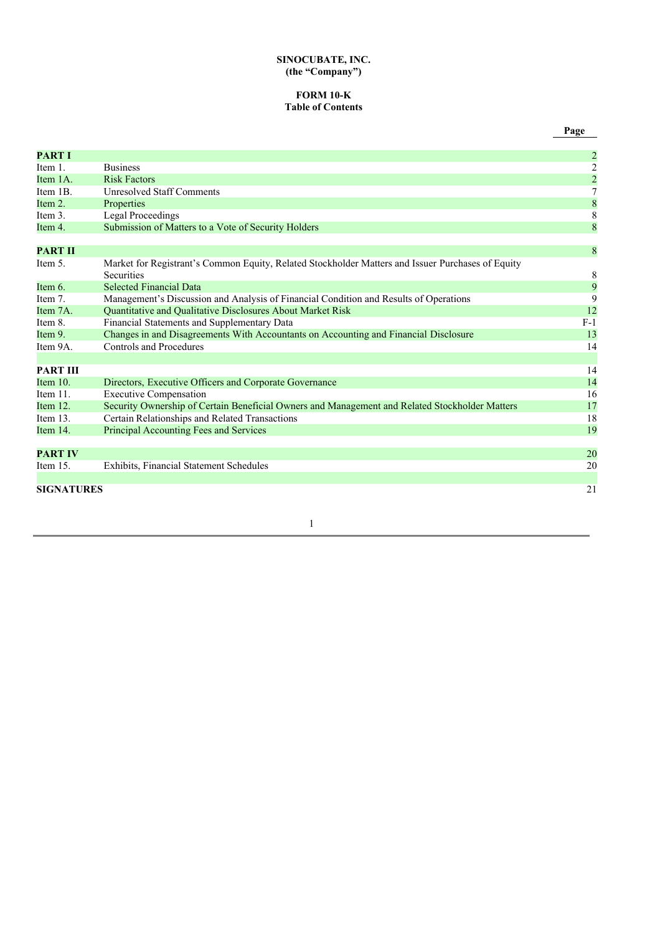### **SINOCUBATE, INC. (the "Company")**

### **FORM 10-K Table of Contents**

| <b>PART I</b>     |                                                                                                   | $\overline{\mathbf{c}}$ |
|-------------------|---------------------------------------------------------------------------------------------------|-------------------------|
| Item 1.           | <b>Business</b>                                                                                   |                         |
| Item 1A.          | <b>Risk Factors</b>                                                                               | $\frac{2}{2}$           |
| Item 1B.          | <b>Unresolved Staff Comments</b>                                                                  |                         |
| Item 2.           | Properties                                                                                        | $\frac{8}{8}$           |
| Item 3.           | <b>Legal Proceedings</b>                                                                          |                         |
| Item 4.           | Submission of Matters to a Vote of Security Holders                                               | 8                       |
|                   |                                                                                                   |                         |
| <b>PART II</b>    |                                                                                                   | 8                       |
| Item 5.           | Market for Registrant's Common Equity, Related Stockholder Matters and Issuer Purchases of Equity |                         |
|                   | <b>Securities</b>                                                                                 | $\,8\,$                 |
| Item 6.           | <b>Selected Financial Data</b>                                                                    | 9                       |
| Item 7.           | Management's Discussion and Analysis of Financial Condition and Results of Operations             | 9                       |
| Item 7A.          | Quantitative and Qualitative Disclosures About Market Risk                                        | 12                      |
| Item 8.           | Financial Statements and Supplementary Data                                                       | $F-1$                   |
| Item 9.           | Changes in and Disagreements With Accountants on Accounting and Financial Disclosure              | 13                      |
| Item 9A.          | Controls and Procedures                                                                           | 14                      |
|                   |                                                                                                   |                         |
| <b>PART III</b>   |                                                                                                   | 14                      |
| Item $10$ .       | Directors, Executive Officers and Corporate Governance                                            | 14                      |
| Item $11$ .       | <b>Executive Compensation</b>                                                                     | 16                      |
| Item 12.          | Security Ownership of Certain Beneficial Owners and Management and Related Stockholder Matters    | 17                      |
| Item $13$ .       | Certain Relationships and Related Transactions                                                    | 18                      |
| Item $14$ .       | Principal Accounting Fees and Services                                                            | 19                      |
|                   |                                                                                                   |                         |
| <b>PART IV</b>    |                                                                                                   | 20                      |
| Item $15$ .       | Exhibits, Financial Statement Schedules                                                           | 20                      |
|                   |                                                                                                   |                         |
| <b>SIGNATURES</b> |                                                                                                   | 21                      |
|                   |                                                                                                   |                         |

1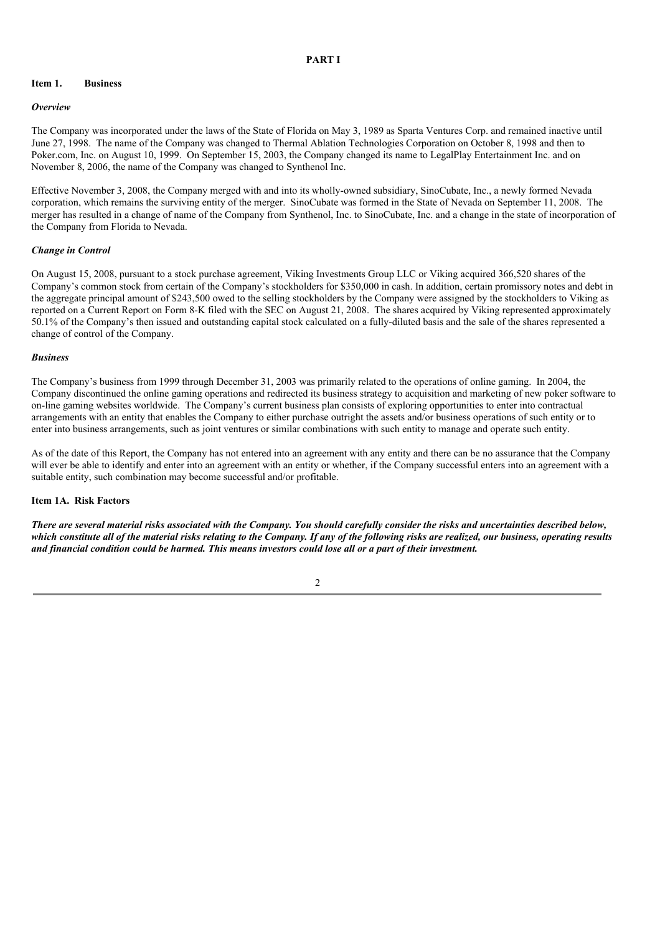### **PART I**

#### **Item 1. Business**

#### *Overview*

The Company was incorporated under the laws of the State of Florida on May 3, 1989 as Sparta Ventures Corp. and remained inactive until June 27, 1998. The name of the Company was changed to Thermal Ablation Technologies Corporation on October 8, 1998 and then to Poker.com, Inc. on August 10, 1999. On September 15, 2003, the Company changed its name to LegalPlay Entertainment Inc. and on November 8, 2006, the name of the Company was changed to Synthenol Inc.

Effective November 3, 2008, the Company merged with and into its wholly-owned subsidiary, SinoCubate, Inc., a newly formed Nevada corporation, which remains the surviving entity of the merger. SinoCubate was formed in the State of Nevada on September 11, 2008. The merger has resulted in a change of name of the Company from Synthenol, Inc. to SinoCubate, Inc. and a change in the state of incorporation of the Company from Florida to Nevada.

### *Change in Control*

On August 15, 2008, pursuant to a stock purchase agreement, Viking Investments Group LLC or Viking acquired 366,520 shares of the Company's common stock from certain of the Company's stockholders for \$350,000 in cash. In addition, certain promissory notes and debt in the aggregate principal amount of \$243,500 owed to the selling stockholders by the Company were assigned by the stockholders to Viking as reported on a Current Report on Form 8-K filed with the SEC on August 21, 2008. The shares acquired by Viking represented approximately 50.1% of the Company's then issued and outstanding capital stock calculated on a fully-diluted basis and the sale of the shares represented a change of control of the Company.

#### *Business*

The Company's business from 1999 through December 31, 2003 was primarily related to the operations of online gaming. In 2004, the Company discontinued the online gaming operations and redirected its business strategy to acquisition and marketing of new poker software to on-line gaming websites worldwide. The Company's current business plan consists of exploring opportunities to enter into contractual arrangements with an entity that enables the Company to either purchase outright the assets and/or business operations of such entity or to enter into business arrangements, such as joint ventures or similar combinations with such entity to manage and operate such entity.

As of the date of this Report, the Company has not entered into an agreement with any entity and there can be no assurance that the Company will ever be able to identify and enter into an agreement with an entity or whether, if the Company successful enters into an agreement with a suitable entity, such combination may become successful and/or profitable.

### **Item 1A. Risk Factors**

There are several material risks associated with the Company. You should carefully consider the risks and uncertainties described below, which constitute all of the material risks relating to the Company. If any of the following risks are realized, our business, operating results and financial condition could be harmed. This means investors could lose all or a part of their investment.

#### 2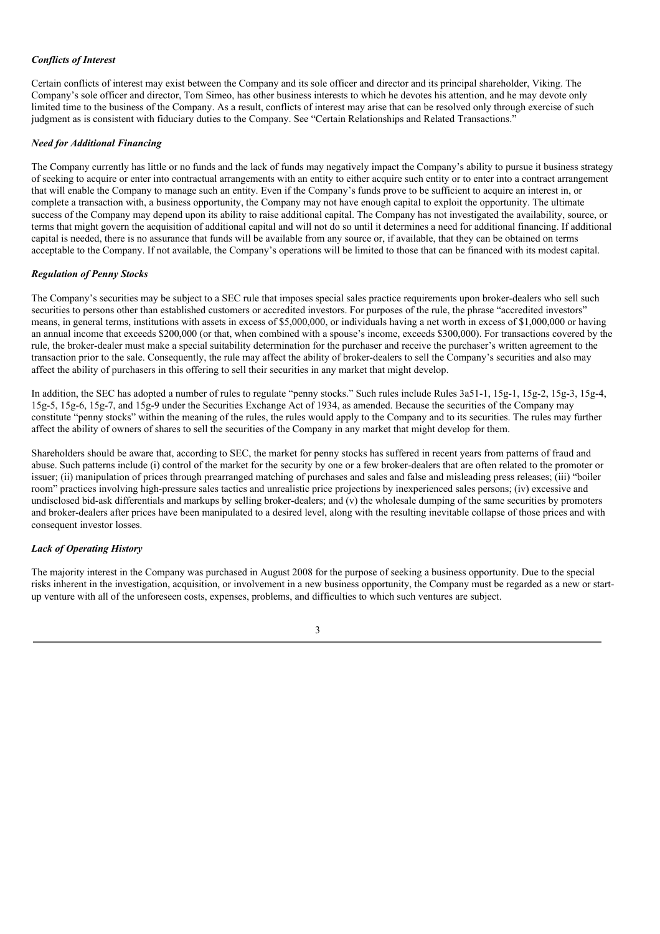### *Conflicts of Interest*

Certain conflicts of interest may exist between the Company and its sole officer and director and its principal shareholder, Viking. The Company's sole officer and director, Tom Simeo, has other business interests to which he devotes his attention, and he may devote only limited time to the business of the Company. As a result, conflicts of interest may arise that can be resolved only through exercise of such judgment as is consistent with fiduciary duties to the Company. See "Certain Relationships and Related Transactions."

### *Need for Additional Financing*

The Company currently has little or no funds and the lack of funds may negatively impact the Company's ability to pursue it business strategy of seeking to acquire or enter into contractual arrangements with an entity to either acquire such entity or to enter into a contract arrangement that will enable the Company to manage such an entity. Even if the Company's funds prove to be sufficient to acquire an interest in, or complete a transaction with, a business opportunity, the Company may not have enough capital to exploit the opportunity. The ultimate success of the Company may depend upon its ability to raise additional capital. The Company has not investigated the availability, source, or terms that might govern the acquisition of additional capital and will not do so until it determines a need for additional financing. If additional capital is needed, there is no assurance that funds will be available from any source or, if available, that they can be obtained on terms acceptable to the Company. If not available, the Company's operations will be limited to those that can be financed with its modest capital.

### *Regulation of Penny Stocks*

The Company's securities may be subject to a SEC rule that imposes special sales practice requirements upon broker-dealers who sell such securities to persons other than established customers or accredited investors. For purposes of the rule, the phrase "accredited investors" means, in general terms, institutions with assets in excess of \$5,000,000, or individuals having a net worth in excess of \$1,000,000 or having an annual income that exceeds \$200,000 (or that, when combined with a spouse's income, exceeds \$300,000). For transactions covered by the rule, the broker-dealer must make a special suitability determination for the purchaser and receive the purchaser's written agreement to the transaction prior to the sale. Consequently, the rule may affect the ability of broker-dealers to sell the Company's securities and also may affect the ability of purchasers in this offering to sell their securities in any market that might develop.

In addition, the SEC has adopted a number of rules to regulate "penny stocks." Such rules include Rules 3a51-1, 15g-1, 15g-2, 15g-3, 15g-4, 15g-5, 15g-6, 15g-7, and 15g-9 under the Securities Exchange Act of 1934, as amended. Because the securities of the Company may constitute "penny stocks" within the meaning of the rules, the rules would apply to the Company and to its securities. The rules may further affect the ability of owners of shares to sell the securities of the Company in any market that might develop for them.

Shareholders should be aware that, according to SEC, the market for penny stocks has suffered in recent years from patterns of fraud and abuse. Such patterns include (i) control of the market for the security by one or a few broker-dealers that are often related to the promoter or issuer; (ii) manipulation of prices through prearranged matching of purchases and sales and false and misleading press releases; (iii) "boiler room" practices involving high-pressure sales tactics and unrealistic price projections by inexperienced sales persons; (iv) excessive and undisclosed bid-ask differentials and markups by selling broker-dealers; and  $(v)$  the wholesale dumping of the same securities by promoters and broker-dealers after prices have been manipulated to a desired level, along with the resulting inevitable collapse of those prices and with consequent investor losses.

### *Lack of Operating History*

The majority interest in the Company was purchased in August 2008 for the purpose of seeking a business opportunity. Due to the special risks inherent in the investigation, acquisition, or involvement in a new business opportunity, the Company must be regarded as a new or startup venture with all of the unforeseen costs, expenses, problems, and difficulties to which such ventures are subject.

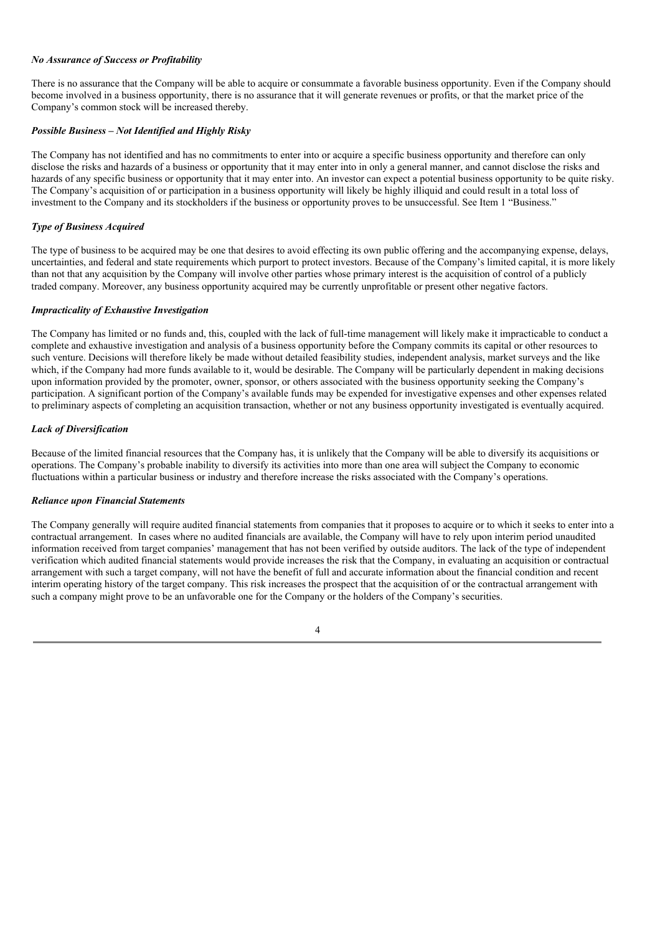### *No Assurance of Success or Profitability*

There is no assurance that the Company will be able to acquire or consummate a favorable business opportunity. Even if the Company should become involved in a business opportunity, there is no assurance that it will generate revenues or profits, or that the market price of the Company's common stock will be increased thereby.

### *Possible Business – Not Identified and Highly Risky*

The Company has not identified and has no commitments to enter into or acquire a specific business opportunity and therefore can only disclose the risks and hazards of a business or opportunity that it may enter into in only a general manner, and cannot disclose the risks and hazards of any specific business or opportunity that it may enter into. An investor can expect a potential business opportunity to be quite risky. The Company's acquisition of or participation in a business opportunity will likely be highly illiquid and could result in a total loss of investment to the Company and its stockholders if the business or opportunity proves to be unsuccessful. See Item 1 "Business."

### *Type of Business Acquired*

The type of business to be acquired may be one that desires to avoid effecting its own public offering and the accompanying expense, delays, uncertainties, and federal and state requirements which purport to protect investors. Because of the Company's limited capital, it is more likely than not that any acquisition by the Company will involve other parties whose primary interest is the acquisition of control of a publicly traded company. Moreover, any business opportunity acquired may be currently unprofitable or present other negative factors.

### *Impracticality of Exhaustive Investigation*

The Company has limited or no funds and, this, coupled with the lack of full-time management will likely make it impracticable to conduct a complete and exhaustive investigation and analysis of a business opportunity before the Company commits its capital or other resources to such venture. Decisions will therefore likely be made without detailed feasibility studies, independent analysis, market surveys and the like which, if the Company had more funds available to it, would be desirable. The Company will be particularly dependent in making decisions upon information provided by the promoter, owner, sponsor, or others associated with the business opportunity seeking the Company's participation. A significant portion of the Company's available funds may be expended for investigative expenses and other expenses related to preliminary aspects of completing an acquisition transaction, whether or not any business opportunity investigated is eventually acquired.

### *Lack of Diversification*

Because of the limited financial resources that the Company has, it is unlikely that the Company will be able to diversify its acquisitions or operations. The Company's probable inability to diversify its activities into more than one area will subject the Company to economic fluctuations within a particular business or industry and therefore increase the risks associated with the Company's operations.

### *Reliance upon Financial Statements*

The Company generally will require audited financial statements from companies that it proposes to acquire or to which it seeks to enter into a contractual arrangement. In cases where no audited financials are available, the Company will have to rely upon interim period unaudited information received from target companies' management that has not been verified by outside auditors. The lack of the type of independent verification which audited financial statements would provide increases the risk that the Company, in evaluating an acquisition or contractual arrangement with such a target company, will not have the benefit of full and accurate information about the financial condition and recent interim operating history of the target company. This risk increases the prospect that the acquisition of or the contractual arrangement with such a company might prove to be an unfavorable one for the Company or the holders of the Company's securities.

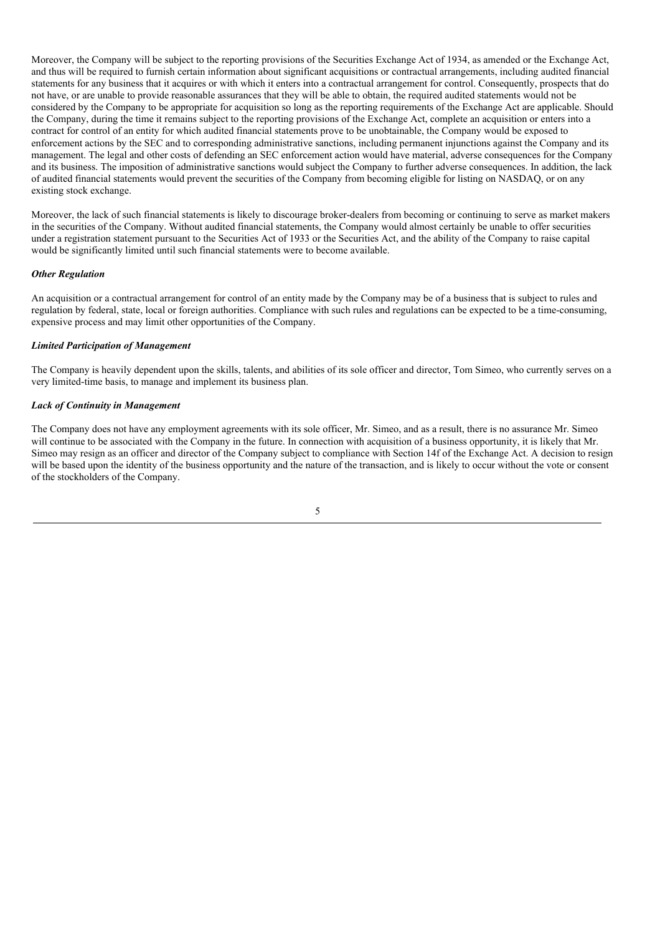Moreover, the Company will be subject to the reporting provisions of the Securities Exchange Act of 1934, as amended or the Exchange Act, and thus will be required to furnish certain information about significant acquisitions or contractual arrangements, including audited financial statements for any business that it acquires or with which it enters into a contractual arrangement for control. Consequently, prospects that do not have, or are unable to provide reasonable assurances that they will be able to obtain, the required audited statements would not be considered by the Company to be appropriate for acquisition so long as the reporting requirements of the Exchange Act are applicable. Should the Company, during the time it remains subject to the reporting provisions of the Exchange Act, complete an acquisition or enters into a contract for control of an entity for which audited financial statements prove to be unobtainable, the Company would be exposed to enforcement actions by the SEC and to corresponding administrative sanctions, including permanent injunctions against the Company and its management. The legal and other costs of defending an SEC enforcement action would have material, adverse consequences for the Company and its business. The imposition of administrative sanctions would subject the Company to further adverse consequences. In addition, the lack of audited financial statements would prevent the securities of the Company from becoming eligible for listing on NASDAQ, or on any existing stock exchange.

Moreover, the lack of such financial statements is likely to discourage broker-dealers from becoming or continuing to serve as market makers in the securities of the Company. Without audited financial statements, the Company would almost certainly be unable to offer securities under a registration statement pursuant to the Securities Act of 1933 or the Securities Act, and the ability of the Company to raise capital would be significantly limited until such financial statements were to become available.

### *Other Regulation*

An acquisition or a contractual arrangement for control of an entity made by the Company may be of a business that is subject to rules and regulation by federal, state, local or foreign authorities. Compliance with such rules and regulations can be expected to be a time-consuming, expensive process and may limit other opportunities of the Company.

### *Limited Participation of Management*

The Company is heavily dependent upon the skills, talents, and abilities of its sole officer and director, Tom Simeo, who currently serves on a very limited-time basis, to manage and implement its business plan.

### *Lack of Continuity in Management*

The Company does not have any employment agreements with its sole officer, Mr. Simeo, and as a result, there is no assurance Mr. Simeo will continue to be associated with the Company in the future. In connection with acquisition of a business opportunity, it is likely that Mr. Simeo may resign as an officer and director of the Company subject to compliance with Section 14f of the Exchange Act. A decision to resign will be based upon the identity of the business opportunity and the nature of the transaction, and is likely to occur without the vote or consent of the stockholders of the Company.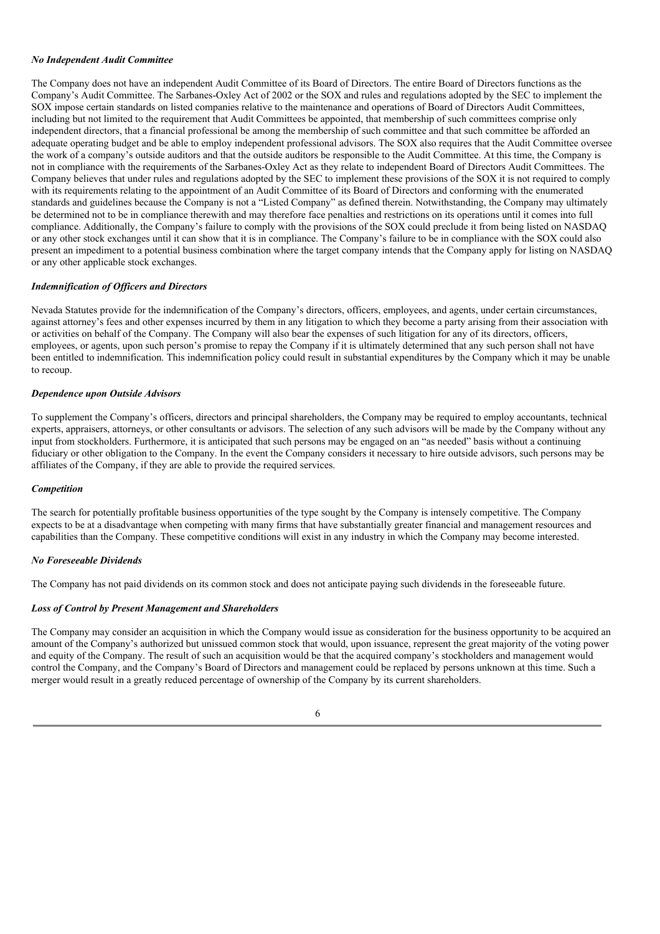#### *No Independent Audit Committee*

The Company does not have an independent Audit Committee of its Board of Directors. The entire Board of Directors functions as the Company's Audit Committee. The Sarbanes-Oxley Act of 2002 or the SOX and rules and regulations adopted by the SEC to implement the SOX impose certain standards on listed companies relative to the maintenance and operations of Board of Directors Audit Committees, including but not limited to the requirement that Audit Committees be appointed, that membership of such committees comprise only independent directors, that a financial professional be among the membership of such committee and that such committee be afforded an adequate operating budget and be able to employ independent professional advisors. The SOX also requires that the Audit Committee oversee the work of a company's outside auditors and that the outside auditors be responsible to the Audit Committee. At this time, the Company is not in compliance with the requirements of the Sarbanes-Oxley Act as they relate to independent Board of Directors Audit Committees. The Company believes that under rules and regulations adopted by the SEC to implement these provisions of the SOX it is not required to comply with its requirements relating to the appointment of an Audit Committee of its Board of Directors and conforming with the enumerated standards and guidelines because the Company is not a "Listed Company" as defined therein. Notwithstanding, the Company may ultimately be determined not to be in compliance therewith and may therefore face penalties and restrictions on its operations until it comes into full compliance. Additionally, the Company's failure to comply with the provisions of the SOX could preclude it from being listed on NASDAQ or any other stock exchanges until it can show that it is in compliance. The Company's failure to be in compliance with the SOX could also present an impediment to a potential business combination where the target company intends that the Company apply for listing on NASDAQ or any other applicable stock exchanges.

#### *Indemnification of Of icers and Directors*

Nevada Statutes provide for the indemnification of the Company's directors, officers, employees, and agents, under certain circumstances, against attorney's fees and other expenses incurred by them in any litigation to which they become a party arising from their association with or activities on behalf of the Company. The Company will also bear the expenses of such litigation for any of its directors, officers, employees, or agents, upon such person's promise to repay the Company if it is ultimately determined that any such person shall not have been entitled to indemnification. This indemnification policy could result in substantial expenditures by the Company which it may be unable to recoup.

### *Dependence upon Outside Advisors*

To supplement the Company's officers, directors and principal shareholders, the Company may be required to employ accountants, technical experts, appraisers, attorneys, or other consultants or advisors. The selection of any such advisors will be made by the Company without any input from stockholders. Furthermore, it is anticipated that such persons may be engaged on an "as needed" basis without a continuing fiduciary or other obligation to the Company. In the event the Company considers it necessary to hire outside advisors, such persons may be affiliates of the Company, if they are able to provide the required services.

#### *Competition*

The search for potentially profitable business opportunities of the type sought by the Company is intensely competitive. The Company expects to be at a disadvantage when competing with many firms that have substantially greater financial and management resources and capabilities than the Company. These competitive conditions will exist in any industry in which the Company may become interested.

### *No Foreseeable Dividends*

The Company has not paid dividends on its common stock and does not anticipate paying such dividends in the foreseeable future.

#### *Loss of Control by Present Management and Shareholders*

The Company may consider an acquisition in which the Company would issue as consideration for the business opportunity to be acquired an amount of the Company's authorized but unissued common stock that would, upon issuance, represent the great majority of the voting power and equity of the Company. The result of such an acquisition would be that the acquired company's stockholders and management would control the Company, and the Company's Board of Directors and management could be replaced by persons unknown at this time. Such a merger would result in a greatly reduced percentage of ownership of the Company by its current shareholders.

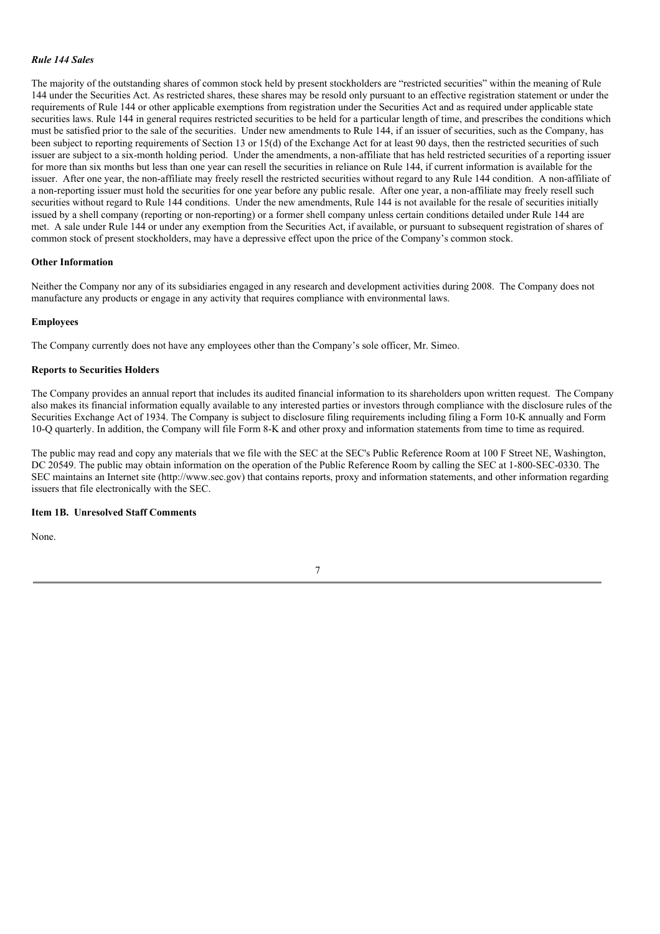#### *Rule 144 Sales*

The majority of the outstanding shares of common stock held by present stockholders are "restricted securities" within the meaning of Rule 144 under the Securities Act. As restricted shares, these shares may be resold only pursuant to an effective registration statement or under the requirements of Rule 144 or other applicable exemptions from registration under the Securities Act and as required under applicable state securities laws. Rule 144 in general requires restricted securities to be held for a particular length of time, and prescribes the conditions which must be satisfied prior to the sale of the securities. Under new amendments to Rule 144, if an issuer of securities, such as the Company, has been subject to reporting requirements of Section 13 or 15(d) of the Exchange Act for at least 90 days, then the restricted securities of such issuer are subject to a six-month holding period. Under the amendments, a non-affiliate that has held restricted securities of a reporting issuer for more than six months but less than one year can resell the securities in reliance on Rule 144, if current information is available for the issuer. After one year, the non-affiliate may freely resell the restricted securities without regard to any Rule 144 condition. A non-affiliate of a non-reporting issuer must hold the securities for one year before any public resale. After one year, a non-affiliate may freely resell such securities without regard to Rule 144 conditions. Under the new amendments, Rule 144 is not available for the resale of securities initially issued by a shell company (reporting or non-reporting) or a former shell company unless certain conditions detailed under Rule 144 are met. A sale under Rule 144 or under any exemption from the Securities Act, if available, or pursuant to subsequent registration of shares of common stock of present stockholders, may have a depressive effect upon the price of the Company's common stock.

### **Other Information**

Neither the Company nor any of its subsidiaries engaged in any research and development activities during 2008. The Company does not manufacture any products or engage in any activity that requires compliance with environmental laws.

#### **Employees**

The Company currently does not have any employees other than the Company's sole officer, Mr. Simeo.

#### **Reports to Securities Holders**

The Company provides an annual report that includes its audited financial information to its shareholders upon written request. The Company also makes its financial information equally available to any interested parties or investors through compliance with the disclosure rules of the Securities Exchange Act of 1934. The Company is subject to disclosure filing requirements including filing a Form 10-K annually and Form 10-Q quarterly. In addition, the Company will file Form 8-K and other proxy and information statements from time to time as required.

The public may read and copy any materials that we file with the SEC at the SEC's Public Reference Room at 100 F Street NE, Washington, DC 20549. The public may obtain information on the operation of the Public Reference Room by calling the SEC at 1-800-SEC-0330. The SEC maintains an Internet site (http://www.sec.gov) that contains reports, proxy and information statements, and other information regarding issuers that file electronically with the SEC.

#### **Item 1B. Unresolved Staff Comments**

None.

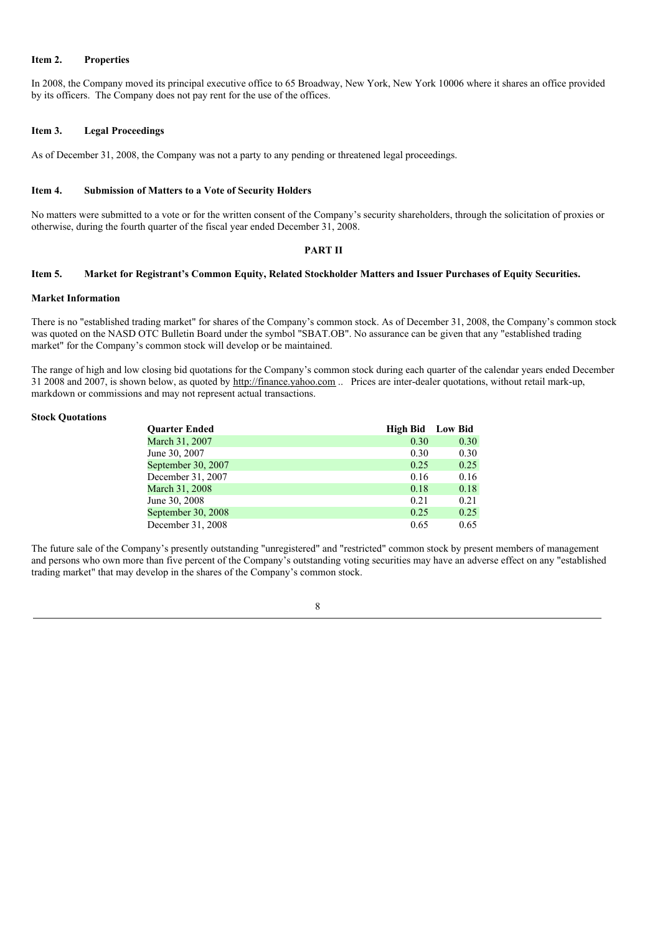### **Item 2. Properties**

In 2008, the Company moved its principal executive office to 65 Broadway, New York, New York 10006 where it shares an office provided by its officers. The Company does not pay rent for the use of the offices.

### **Item 3. Legal Proceedings**

As of December 31, 2008, the Company was not a party to any pending or threatened legal proceedings.

### **Item 4. Submission of Matters to a Vote of Security Holders**

No matters were submitted to a vote or for the written consent of the Company's security shareholders, through the solicitation of proxies or otherwise, during the fourth quarter of the fiscal year ended December 31, 2008.

### **PART II**

### Item 5. Market for Registrant's Common Equity, Related Stockholder Matters and Issuer Purchases of Equity Securities.

#### **Market Information**

There is no "established trading market" for shares of the Company's common stock. As of December 31, 2008, the Company's common stock was quoted on the NASD OTC Bulletin Board under the symbol "SBAT.OB". No assurance can be given that any "established trading market" for the Company's common stock will develop or be maintained.

The range of high and low closing bid quotations for the Company's common stock during each quarter of the calendar years ended December 31 2008 and 2007, is shown below, as quoted by http://finance.yahoo.com .. Prices are inter-dealer quotations, without retail mark-up, markdown or commissions and may not represent actual transactions.

### **Stock Quotations**

| <b>Ouarter Ended</b> | <b>High Bid</b> Low Bid |      |
|----------------------|-------------------------|------|
| March 31, 2007       | 0.30                    | 0.30 |
| June 30, 2007        | 0.30                    | 0.30 |
| September 30, 2007   | 0.25                    | 0.25 |
| December 31, 2007    | 0.16                    | 0.16 |
| March 31, 2008       | 0.18                    | 0.18 |
| June 30, 2008        | 0.21                    | 0.21 |
| September 30, 2008   | 0.25                    | 0.25 |
| December 31, 2008    | 0.65                    | 0.65 |

The future sale of the Company's presently outstanding "unregistered" and "restricted" common stock by present members of management and persons who own more than five percent of the Company's outstanding voting securities may have an adverse effect on any "established trading market" that may develop in the shares of the Company's common stock.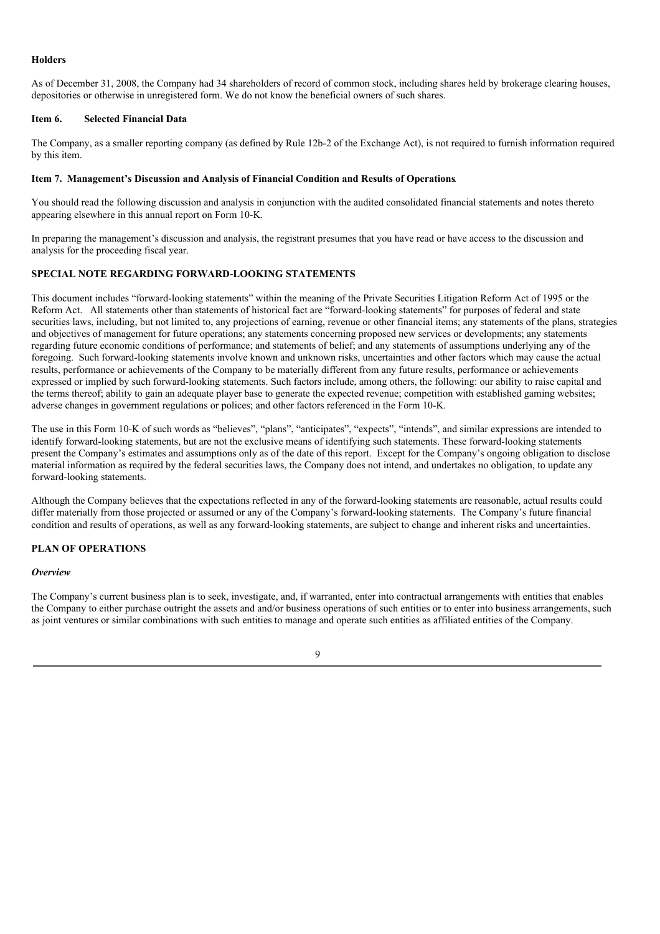### **Holders**

As of December 31, 2008, the Company had 34 shareholders of record of common stock, including shares held by brokerage clearing houses, depositories or otherwise in unregistered form. We do not know the beneficial owners of such shares.

### **Item 6. Selected Financial Data**

The Company, as a smaller reporting company (as defined by Rule 12b-2 of the Exchange Act), is not required to furnish information required by this item.

### **Item 7. Management's Discussion and Analysis of Financial Condition and Results of Operations**.

You should read the following discussion and analysis in conjunction with the audited consolidated financial statements and notes thereto appearing elsewhere in this annual report on Form 10-K.

In preparing the management's discussion and analysis, the registrant presumes that you have read or have access to the discussion and analysis for the proceeding fiscal year.

### **SPECIAL NOTE REGARDING FORWARD-LOOKING STATEMENTS**

This document includes "forward-looking statements" within the meaning of the Private Securities Litigation Reform Act of 1995 or the Reform Act. All statements other than statements of historical fact are "forward-looking statements" for purposes of federal and state securities laws, including, but not limited to, any projections of earning, revenue or other financial items; any statements of the plans, strategies and objectives of management for future operations; any statements concerning proposed new services or developments; any statements regarding future economic conditions of performance; and statements of belief; and any statements of assumptions underlying any of the foregoing. Such forward-looking statements involve known and unknown risks, uncertainties and other factors which may cause the actual results, performance or achievements of the Company to be materially different from any future results, performance or achievements expressed or implied by such forward-looking statements. Such factors include, among others, the following: our ability to raise capital and the terms thereof; ability to gain an adequate player base to generate the expected revenue; competition with established gaming websites; adverse changes in government regulations or polices; and other factors referenced in the Form 10-K.

The use in this Form 10-K of such words as "believes", "plans", "anticipates", "expects", "intends", and similar expressions are intended to identify forward-looking statements, but are not the exclusive means of identifying such statements. These forward-looking statements present the Company's estimates and assumptions only as of the date of this report. Except for the Company's ongoing obligation to disclose material information as required by the federal securities laws, the Company does not intend, and undertakes no obligation, to update any forward-looking statements.

Although the Company believes that the expectations reflected in any of the forward-looking statements are reasonable, actual results could differ materially from those projected or assumed or any of the Company's forward-looking statements. The Company's future financial condition and results of operations, as well as any forward-looking statements, are subject to change and inherent risks and uncertainties.

### **PLAN OF OPERATIONS**

### *Overview*

The Company's current business plan is to seek, investigate, and, if warranted, enter into contractual arrangements with entities that enables the Company to either purchase outright the assets and and/or business operations of such entities or to enter into business arrangements, such as joint ventures or similar combinations with such entities to manage and operate such entities as affiliated entities of the Company.

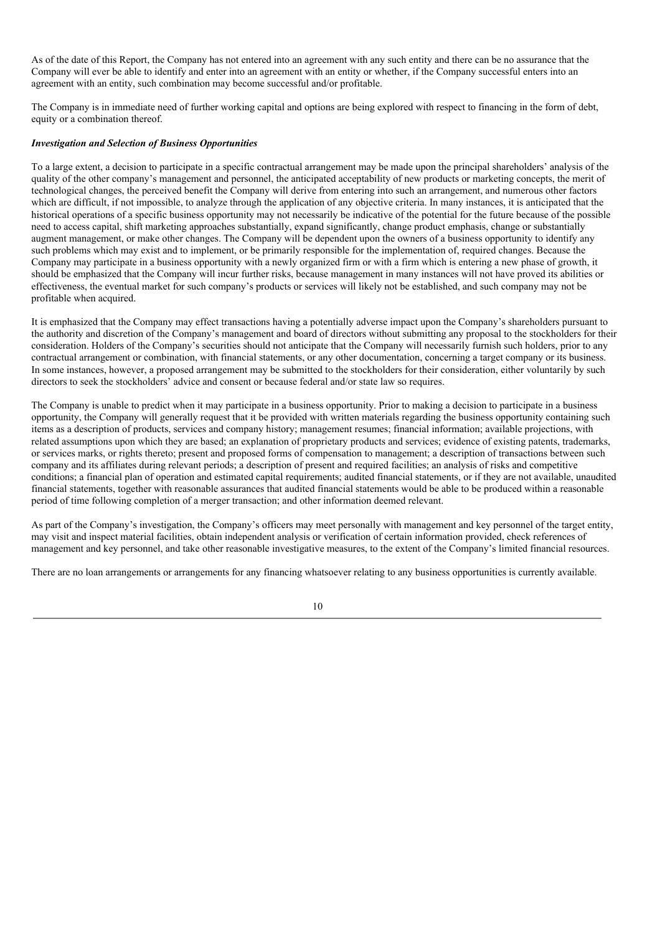As of the date of this Report, the Company has not entered into an agreement with any such entity and there can be no assurance that the Company will ever be able to identify and enter into an agreement with an entity or whether, if the Company successful enters into an agreement with an entity, such combination may become successful and/or profitable.

The Company is in immediate need of further working capital and options are being explored with respect to financing in the form of debt, equity or a combination thereof.

### *Investigation and Selection of Business Opportunities*

To a large extent, a decision to participate in a specific contractual arrangement may be made upon the principal shareholders' analysis of the quality of the other company's management and personnel, the anticipated acceptability of new products or marketing concepts, the merit of technological changes, the perceived benefit the Company will derive from entering into such an arrangement, and numerous other factors which are difficult, if not impossible, to analyze through the application of any objective criteria. In many instances, it is anticipated that the historical operations of a specific business opportunity may not necessarily be indicative of the potential for the future because of the possible need to access capital, shift marketing approaches substantially, expand significantly, change product emphasis, change or substantially augment management, or make other changes. The Company will be dependent upon the owners of a business opportunity to identify any such problems which may exist and to implement, or be primarily responsible for the implementation of, required changes. Because the Company may participate in a business opportunity with a newly organized firm or with a firm which is entering a new phase of growth, it should be emphasized that the Company will incur further risks, because management in many instances will not have proved its abilities or effectiveness, the eventual market for such company's products or services will likely not be established, and such company may not be profitable when acquired.

It is emphasized that the Company may effect transactions having a potentially adverse impact upon the Company's shareholders pursuant to the authority and discretion of the Company's management and board of directors without submitting any proposal to the stockholders for their consideration. Holders of the Company's securities should not anticipate that the Company will necessarily furnish such holders, prior to any contractual arrangement or combination, with financial statements, or any other documentation, concerning a target company or its business. In some instances, however, a proposed arrangement may be submitted to the stockholders for their consideration, either voluntarily by such directors to seek the stockholders' advice and consent or because federal and/or state law so requires.

The Company is unable to predict when it may participate in a business opportunity. Prior to making a decision to participate in a business opportunity, the Company will generally request that it be provided with written materials regarding the business opportunity containing such items as a description of products, services and company history; management resumes; financial information; available projections, with related assumptions upon which they are based; an explanation of proprietary products and services; evidence of existing patents, trademarks, or services marks, or rights thereto; present and proposed forms of compensation to management; a description of transactions between such company and its affiliates during relevant periods; a description of present and required facilities; an analysis of risks and competitive conditions; a financial plan of operation and estimated capital requirements; audited financial statements, or if they are not available, unaudited financial statements, together with reasonable assurances that audited financial statements would be able to be produced within a reasonable period of time following completion of a merger transaction; and other information deemed relevant.

As part of the Company's investigation, the Company's officers may meet personally with management and key personnel of the target entity, may visit and inspect material facilities, obtain independent analysis or verification of certain information provided, check references of management and key personnel, and take other reasonable investigative measures, to the extent of the Company's limited financial resources.

There are no loan arrangements or arrangements for any financing whatsoever relating to any business opportunities is currently available.

10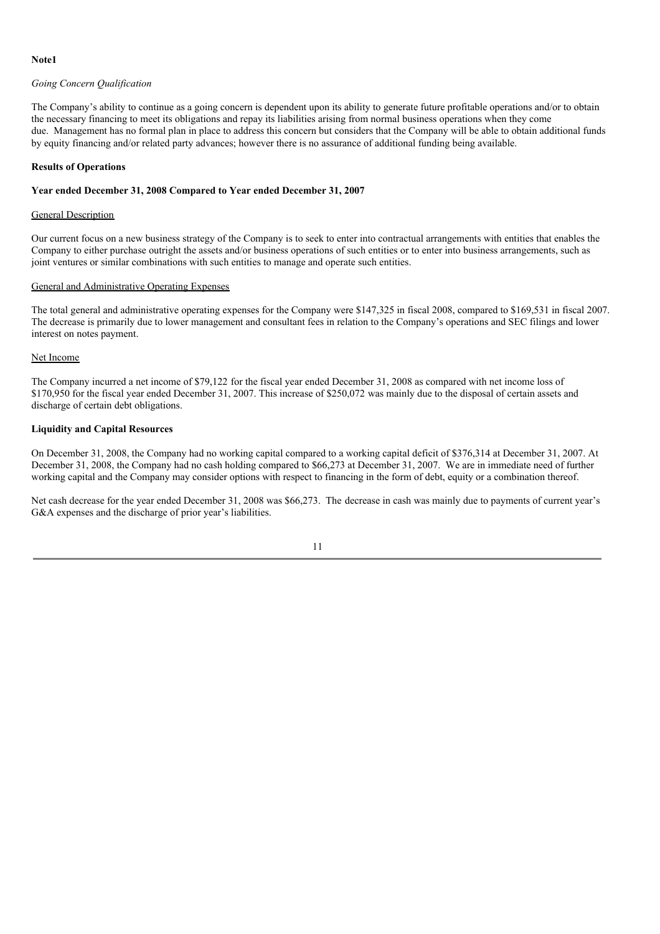### **Note1**

### *Going Concern Qualification*

The Company's ability to continue as a going concern is dependent upon its ability to generate future profitable operations and/or to obtain the necessary financing to meet its obligations and repay its liabilities arising from normal business operations when they come due. Management has no formal plan in place to address this concern but considers that the Company will be able to obtain additional funds by equity financing and/or related party advances; however there is no assurance of additional funding being available.

#### **Results of Operations**

### **Year ended December 31, 2008 Compared to Year ended December 31, 2007**

### General Description

Our current focus on a new business strategy of the Company is to seek to enter into contractual arrangements with entities that enables the Company to either purchase outright the assets and/or business operations of such entities or to enter into business arrangements, such as joint ventures or similar combinations with such entities to manage and operate such entities.

### General and Administrative Operating Expenses

The total general and administrative operating expenses for the Company were \$147,325 in fiscal 2008, compared to \$169,531 in fiscal 2007. The decrease is primarily due to lower management and consultant fees in relation to the Company's operations and SEC filings and lower interest on notes payment.

### Net Income

The Company incurred a net income of \$79,122 for the fiscal year ended December 31, 2008 as compared with net income loss of \$170,950 for the fiscal year ended December 31, 2007. This increase of \$250,072 was mainly due to the disposal of certain assets and discharge of certain debt obligations.

### **Liquidity and Capital Resources**

On December 31, 2008, the Company had no working capital compared to a working capital deficit of \$376,314 at December 31, 2007. At December 31, 2008, the Company had no cash holding compared to \$66,273 at December 31, 2007. We are in immediate need of further working capital and the Company may consider options with respect to financing in the form of debt, equity or a combination thereof.

Net cash decrease for the year ended December 31, 2008 was \$66,273. The decrease in cash was mainly due to payments of current year's G&A expenses and the discharge of prior year's liabilities.

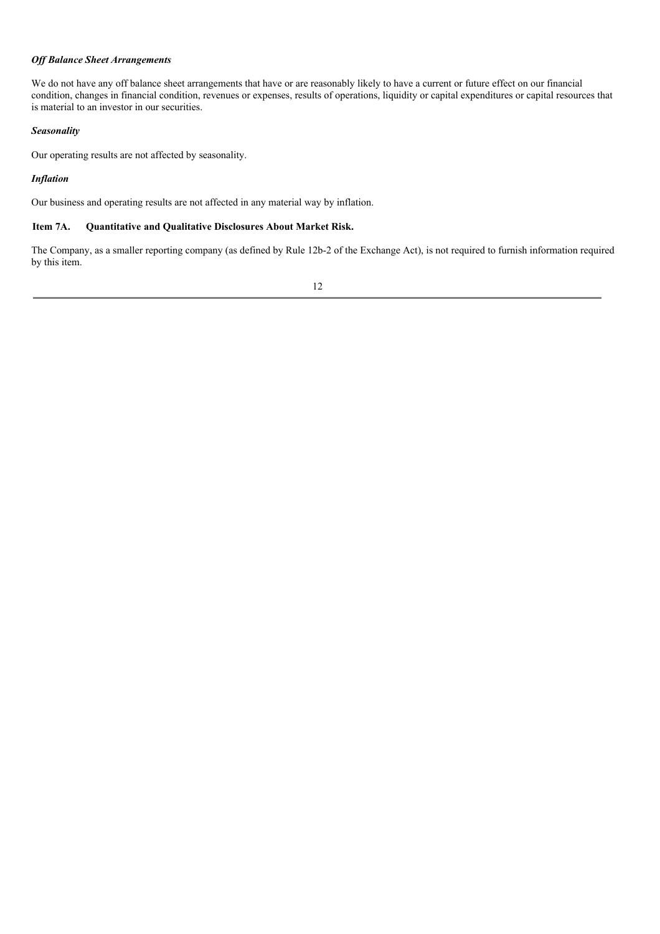### *Of Balance Sheet Arrangements*

We do not have any off balance sheet arrangements that have or are reasonably likely to have a current or future effect on our financial condition, changes in financial condition, revenues or expenses, results of operations, liquidity or capital expenditures or capital resources that is material to an investor in our securities.

### *Seasonality*

Our operating results are not affected by seasonality.

### *Inflation*

Our business and operating results are not affected in any material way by inflation.

### **Item 7A. Quantitative and Qualitative Disclosures About Market Risk.**

The Company, as a smaller reporting company (as defined by Rule 12b-2 of the Exchange Act), is not required to furnish information required by this item.

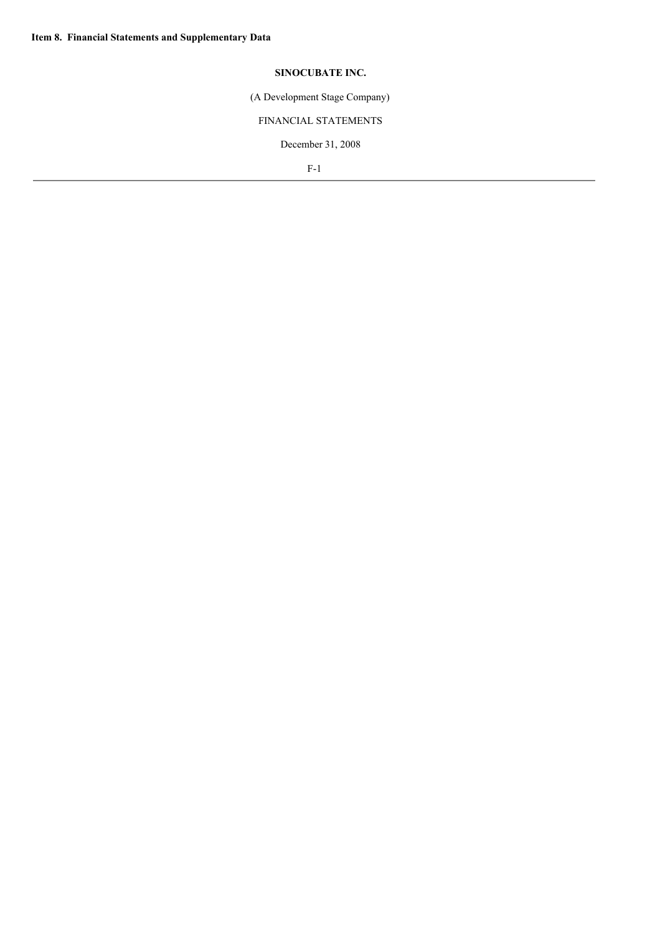## **SINOCUBATE INC.**

(A Development Stage Company)

## FINANCIAL STATEMENTS

December 31, 2008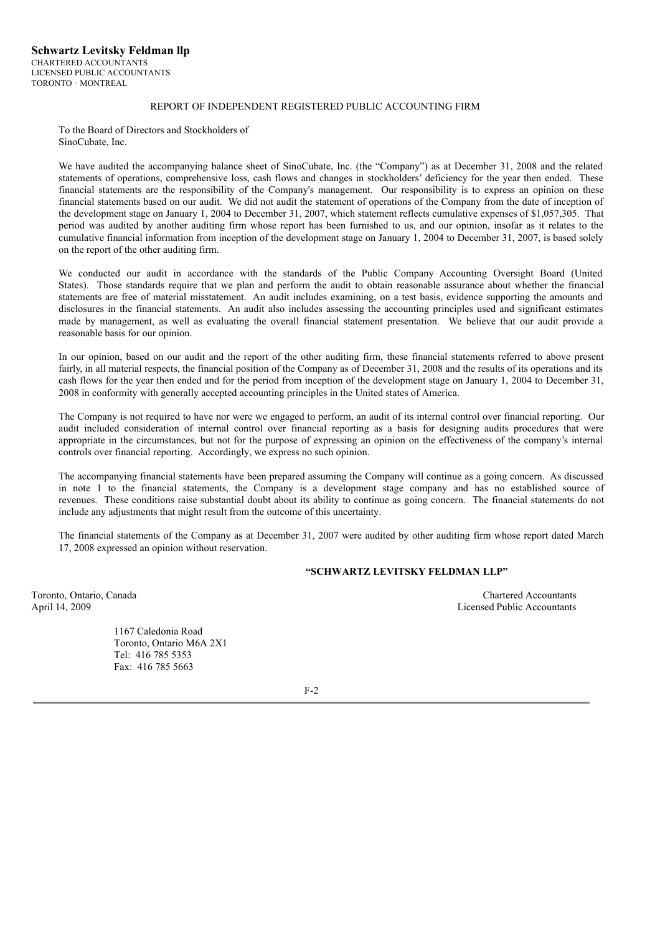### REPORT OF INDEPENDENT REGISTERED PUBLIC ACCOUNTING FIRM

To the Board of Directors and Stockholders of SinoCubate, Inc.

We have audited the accompanying balance sheet of SinoCubate, Inc. (the "Company") as at December 31, 2008 and the related statements of operations, comprehensive loss, cash flows and changes in stockholders' deficiency for the year then ended. These financial statements are the responsibility of the Company's management. Our responsibility is to express an opinion on these financial statements based on our audit. We did not audit the statement of operations of the Company from the date of inception of the development stage on January 1, 2004 to December 31, 2007, which statement reflects cumulative expenses of \$1,057,305. That period was audited by another auditing firm whose report has been furnished to us, and our opinion, insofar as it relates to the cumulative financial information from inception of the development stage on January 1, 2004 to December 31, 2007, is based solely on the report of the other auditing firm.

We conducted our audit in accordance with the standards of the Public Company Accounting Oversight Board (United States). Those standards require that we plan and perform the audit to obtain reasonable assurance about whether the financial statements are free of material misstatement. An audit includes examining, on a test basis, evidence supporting the amounts and disclosures in the financial statements. An audit also includes assessing the accounting principles used and significant estimates made by management, as well as evaluating the overall financial statement presentation. We believe that our audit provide a reasonable basis for our opinion.

In our opinion, based on our audit and the report of the other auditing firm, these financial statements referred to above present fairly, in all material respects, the financial position of the Company as of December 31, 2008 and the results of its operations and its cash flows for the year then ended and for the period from inception of the development stage on January 1, 2004 to December 31, 2008 in conformity with generally accepted accounting principles in the United states of America.

The Company is not required to have nor were we engaged to perform, an audit of its internal control over financial reporting. Our audit included consideration of internal control over financial reporting as a basis for designing audits procedures that were appropriate in the circumstances, but not for the purpose of expressing an opinion on the effectiveness of the company's internal controls over financial reporting. Accordingly, we express no such opinion.

The accompanying financial statements have been prepared assuming the Company will continue as a going concern. As discussed in note 1 to the financial statements, the Company is a development stage company and has no established source of revenues. These conditions raise substantial doubt about its ability to continue as going concern. The financial statements do not include any adjustments that might result from the outcome of this uncertainty.

The financial statements of the Company as at December 31, 2007 were audited by other auditing firm whose report dated March 17, 2008 expressed an opinion without reservation.

### **"SCHWARTZ LEVITSKY FELDMAN LLP"**

Toronto, Ontario, Canada Chartered Accountants April 14, 2009 Licensed Public Accountants

> 1167 Caledonia Road Toronto, Ontario M6A 2X1 Tel: 416 785 5353 Fax: 416 785 5663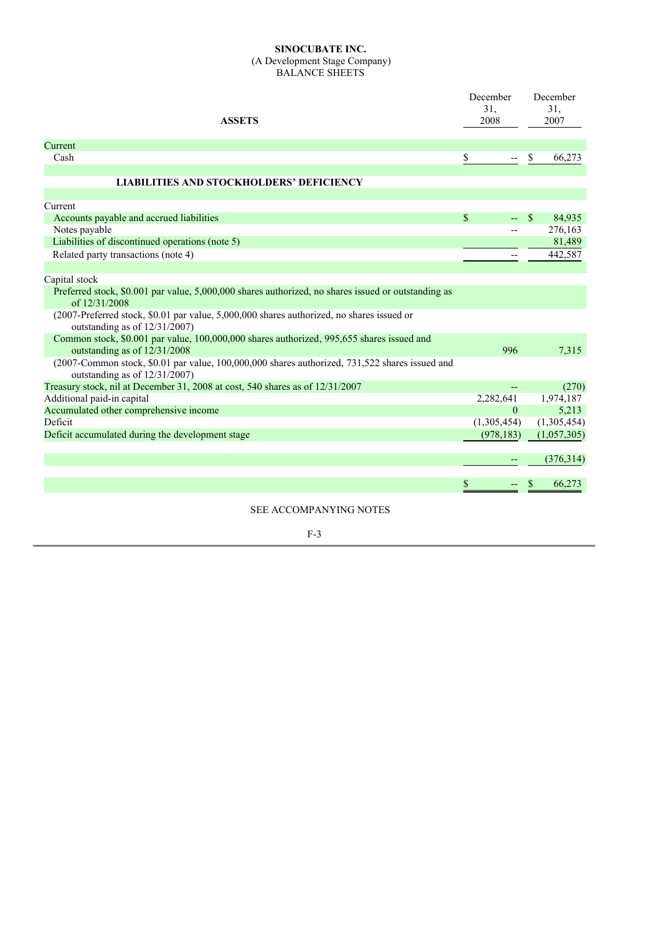### **SINOCUBATE INC.** (A Development Stage Company) BALANCE SHEETS

| <b>ASSETS</b>                                                                                                                        | December<br>31.<br>2008 | December<br>31,<br>2007 |
|--------------------------------------------------------------------------------------------------------------------------------------|-------------------------|-------------------------|
| Current                                                                                                                              |                         |                         |
| Cash                                                                                                                                 | \$                      | 66,273<br>S             |
| <b>LIABILITIES AND STOCKHOLDERS' DEFICIENCY</b>                                                                                      |                         |                         |
| Current                                                                                                                              |                         |                         |
| Accounts payable and accrued liabilities                                                                                             | \$<br>--                | 84,935<br><sup>S</sup>  |
| Notes payable                                                                                                                        | $-$                     | 276,163                 |
| Liabilities of discontinued operations (note 5)                                                                                      |                         | 81,489                  |
| Related party transactions (note 4)                                                                                                  |                         | 442,587                 |
| Capital stock                                                                                                                        |                         |                         |
| Preferred stock, \$0.001 par value, 5,000,000 shares authorized, no shares issued or outstanding as<br>of 12/31/2008                 |                         |                         |
| (2007-Preferred stock, \$0.01 par value, 5,000,000 shares authorized, no shares issued or<br>outstanding as of 12/31/2007)           |                         |                         |
| Common stock, \$0.001 par value, 100,000,000 shares authorized, 995,655 shares issued and<br>outstanding as of 12/31/2008            | 996                     | 7,315                   |
| $(2007$ -Common stock, \$0.01 par value, $100,000,000$ shares authorized, 731,522 shares issued and<br>outstanding as of 12/31/2007) |                         |                         |
| Treasury stock, nil at December 31, 2008 at cost, 540 shares as of 12/31/2007                                                        |                         | (270)                   |
| Additional paid-in capital                                                                                                           | 2,282,641               | 1,974,187               |
| Accumulated other comprehensive income                                                                                               | $\Omega$                | 5,213                   |
| Deficit                                                                                                                              | (1,305,454)             | (1,305,454)             |
| Deficit accumulated during the development stage                                                                                     | (978, 183)              | (1,057,305)             |
|                                                                                                                                      |                         | (376,314)               |
|                                                                                                                                      | \$<br>--                | 66,273                  |
| CEE A CCOMPANIVING MOTEC                                                                                                             |                         |                         |

SEE ACCOMPANYING NOTES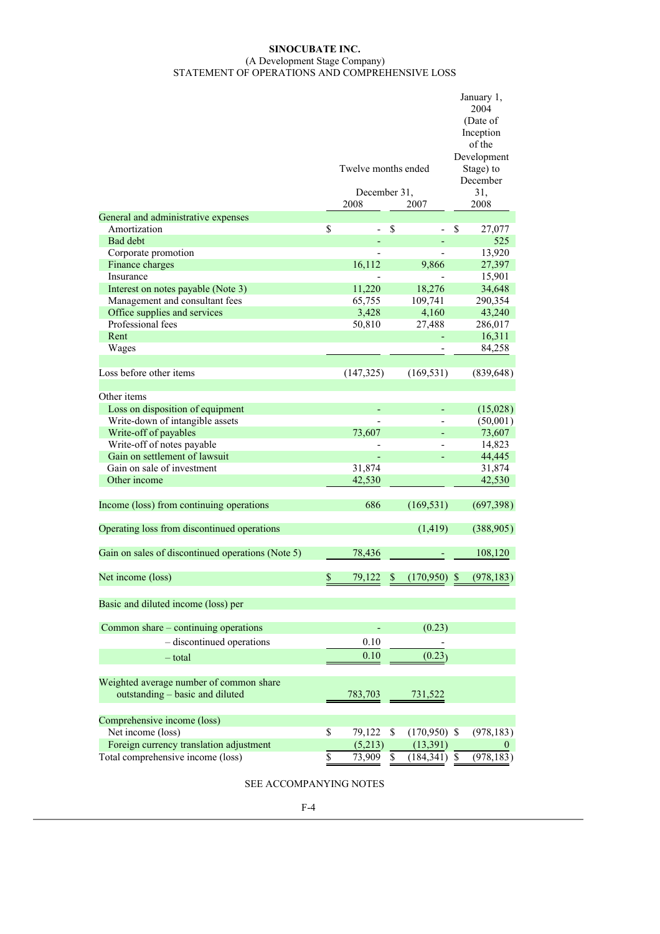### **SINOCUBATE INC.** (A Development Stage Company) STATEMENT OF OPERATIONS AND COMPREHENSIVE LOSS

|                                                   |                      |              |                 |    | January 1,<br>2004<br>(Date of<br>Inception<br>of the |
|---------------------------------------------------|----------------------|--------------|-----------------|----|-------------------------------------------------------|
|                                                   | Twelve months ended  |              |                 |    | Development<br>Stage) to<br>December                  |
|                                                   | December 31,<br>2008 |              | 2007            |    | 31,<br>2008                                           |
| General and administrative expenses               |                      |              |                 |    |                                                       |
| Amortization                                      | \$                   | \$           |                 | \$ | 27,077                                                |
| Bad debt                                          |                      |              |                 |    | 525                                                   |
| Corporate promotion                               |                      |              |                 |    | 13,920                                                |
| Finance charges                                   | 16,112               |              | 9,866           |    | 27,397                                                |
| Insurance                                         |                      |              |                 |    | 15,901                                                |
| Interest on notes payable (Note 3)                | 11,220               |              | 18,276          |    | 34,648                                                |
| Management and consultant fees                    | 65,755               |              | 109,741         |    | 290,354                                               |
| Office supplies and services                      | 3,428                |              | 4,160           |    | 43,240                                                |
| Professional fees                                 | 50,810               |              | 27,488          |    | 286,017                                               |
| Rent                                              |                      |              |                 |    | 16,311                                                |
| Wages                                             |                      |              |                 |    | 84,258                                                |
|                                                   |                      |              |                 |    |                                                       |
| Loss before other items                           | (147, 325)           |              | (169, 531)      |    | (839, 648)                                            |
| Other items                                       |                      |              |                 |    |                                                       |
| Loss on disposition of equipment                  |                      |              |                 |    | (15,028)                                              |
| Write-down of intangible assets                   |                      |              |                 |    | (50,001)                                              |
| Write-off of payables                             | 73,607               |              |                 |    | 73,607                                                |
| Write-off of notes payable                        |                      |              |                 |    | 14,823                                                |
| Gain on settlement of lawsuit                     |                      |              |                 |    | 44,445                                                |
| Gain on sale of investment                        | 31,874               |              |                 |    | 31,874                                                |
| Other income                                      | 42,530               |              |                 |    | 42,530                                                |
| Income (loss) from continuing operations          | 686                  |              | (169, 531)      |    | (697,398)                                             |
| Operating loss from discontinued operations       |                      |              | (1, 419)        |    | (388, 905)                                            |
| Gain on sales of discontinued operations (Note 5) | 78,436               |              |                 |    | 108,120                                               |
| Net income (loss)                                 | \$<br>79,122         | \$           | (170,950)       | S  | (978, 183)                                            |
| Basic and diluted income (loss) per               |                      |              |                 |    |                                                       |
| Common share – continuing operations              |                      |              | (0.23)          |    |                                                       |
| - discontinued operations                         | 0.10                 |              |                 |    |                                                       |
| $-$ total                                         | 0.10                 |              | (0.23)          |    |                                                       |
|                                                   |                      |              |                 |    |                                                       |
| Weighted average number of common share           |                      |              |                 |    |                                                       |
| outstanding - basic and diluted                   | 783,703              |              | 731,522         |    |                                                       |
| Comprehensive income (loss)                       |                      |              |                 |    |                                                       |
| Net income (loss)                                 | \$<br>79,122         | $\mathbb{S}$ | $(170,950)$ \$  |    | (978, 183)                                            |
| Foreign currency translation adjustment           | (5,213)              |              | (13, 391)       |    | $\theta$                                              |
| Total comprehensive income (loss)                 | \$<br>73,909         | \$           | $(184, 341)$ \$ |    | (978, 183)                                            |
|                                                   |                      |              |                 |    |                                                       |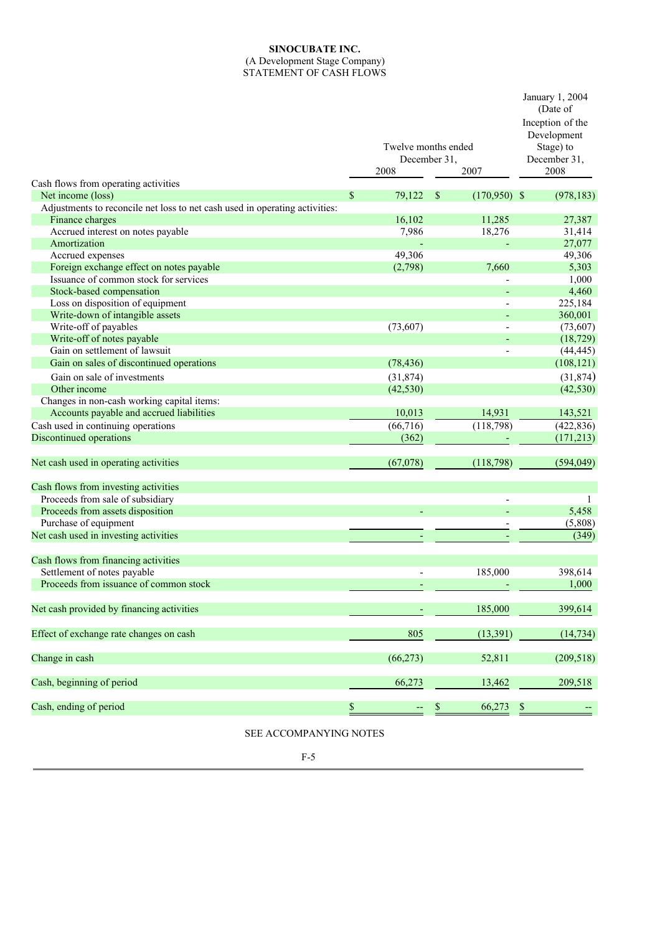# **SINOCUBATE INC.**

#### (A Development Stage Company) STATEMENT OF CASH FLOWS

|                                                                             | Twelve months ended<br>December 31,<br>2008 | January 1, 2004<br>(Date of<br>Inception of the<br>Development<br>Stage) to<br>December 31,<br>2008 |                       |
|-----------------------------------------------------------------------------|---------------------------------------------|-----------------------------------------------------------------------------------------------------|-----------------------|
| Cash flows from operating activities<br>Net income (loss)                   | 79,122<br>\$                                | <sup>\$</sup><br>$(170,950)$ \$                                                                     | (978, 183)            |
| Adjustments to reconcile net loss to net cash used in operating activities: |                                             |                                                                                                     |                       |
|                                                                             | 16,102                                      | 11,285                                                                                              |                       |
| Finance charges<br>Accrued interest on notes payable                        | 7,986                                       | 18,276                                                                                              | 27,387<br>31,414      |
| Amortization                                                                |                                             |                                                                                                     | 27,077                |
| Accrued expenses                                                            | 49,306                                      |                                                                                                     | 49,306                |
| Foreign exchange effect on notes payable                                    |                                             | 7,660                                                                                               |                       |
| Issuance of common stock for services                                       | (2,798)                                     |                                                                                                     | 5,303<br>1,000        |
| Stock-based compensation                                                    |                                             |                                                                                                     | 4,460                 |
| Loss on disposition of equipment                                            |                                             |                                                                                                     | 225,184               |
| Write-down of intangible assets                                             |                                             |                                                                                                     | 360,001               |
| Write-off of payables                                                       | (73, 607)                                   |                                                                                                     |                       |
| Write-off of notes payable                                                  |                                             |                                                                                                     | (73,607)<br>(18, 729) |
| Gain on settlement of lawsuit                                               |                                             |                                                                                                     | (44, 445)             |
| Gain on sales of discontinued operations                                    | (78, 436)                                   |                                                                                                     | (108, 121)            |
|                                                                             |                                             |                                                                                                     |                       |
| Gain on sale of investments                                                 | (31, 874)                                   |                                                                                                     | (31,874)              |
| Other income                                                                | (42, 530)                                   |                                                                                                     | (42, 530)             |
| Changes in non-cash working capital items:                                  |                                             |                                                                                                     |                       |
| Accounts payable and accrued liabilities                                    | 10,013                                      | 14,931                                                                                              | 143,521               |
| Cash used in continuing operations                                          | $\overline{(66,716)}$                       | (118,798)                                                                                           | (422, 836)            |
| Discontinued operations                                                     | (362)                                       |                                                                                                     | (171, 213)            |
| Net cash used in operating activities                                       | (67,078)                                    | (118,798)                                                                                           | (594, 049)            |
| Cash flows from investing activities                                        |                                             |                                                                                                     |                       |
| Proceeds from sale of subsidiary                                            |                                             |                                                                                                     | 1                     |
| Proceeds from assets disposition                                            |                                             |                                                                                                     | 5,458                 |
| Purchase of equipment                                                       |                                             |                                                                                                     | (5,808)               |
| Net cash used in investing activities                                       |                                             |                                                                                                     | (349)                 |
|                                                                             |                                             |                                                                                                     |                       |
| Cash flows from financing activities                                        |                                             |                                                                                                     |                       |
| Settlement of notes payable                                                 |                                             | 185,000                                                                                             | 398,614               |
| Proceeds from issuance of common stock                                      |                                             |                                                                                                     | 1,000                 |
| Net cash provided by financing activities                                   |                                             | 185,000                                                                                             | 399,614               |
| Effect of exchange rate changes on cash                                     | 805                                         | (13, 391)                                                                                           | (14, 734)             |
| Change in cash                                                              | (66, 273)                                   | 52,811                                                                                              | (209, 518)            |
| Cash, beginning of period                                                   | 66,273                                      | 13,462                                                                                              | 209,518               |
| Cash, ending of period                                                      | \$                                          | 66,273<br>\$                                                                                        | \$                    |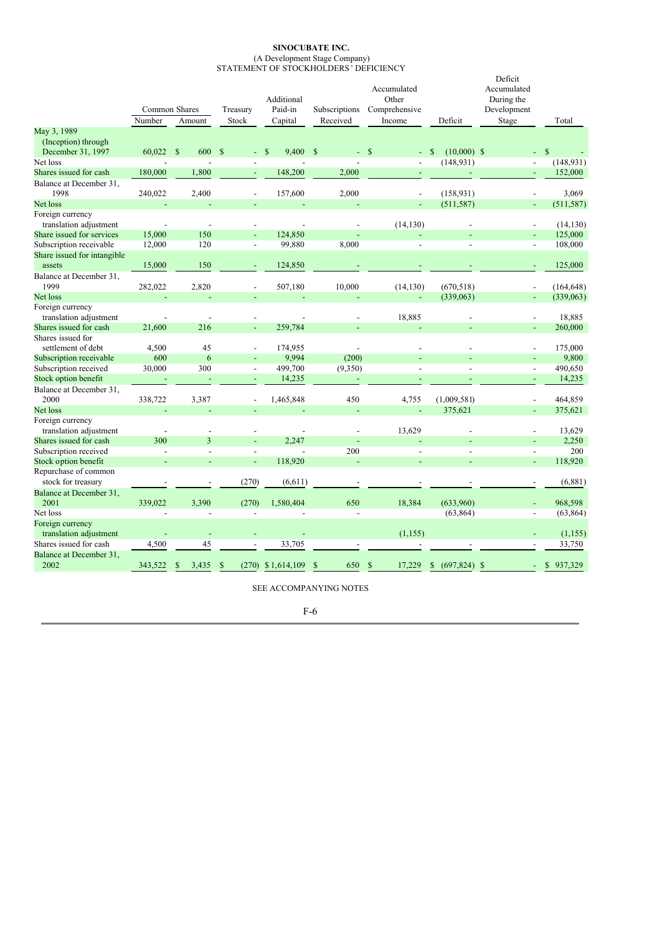#### **SINOCUBATE INC.** (A Development Stage Company) STATEMENT OF STOCKHOLDERS' DEFICIENCY

|                                                        | Common Shares<br>Number  |               | Amount                   | Treasury<br>Stock |                          | Additional<br>Paid-in<br>Capital | Subscriptions<br>Received |                          |               | Accumulated<br>Other<br>Comprehensive<br>Income | Deficit       |                | Deficit<br>Accumulated<br>During the<br>Development<br>Stage | Total         |
|--------------------------------------------------------|--------------------------|---------------|--------------------------|-------------------|--------------------------|----------------------------------|---------------------------|--------------------------|---------------|-------------------------------------------------|---------------|----------------|--------------------------------------------------------------|---------------|
| May 3, 1989                                            |                          |               |                          |                   |                          |                                  |                           |                          |               |                                                 |               |                |                                                              |               |
| (Inception) through<br>December 31, 1997               | 60,022                   | $\mathcal{S}$ | 600                      | $\mathcal{S}$     |                          | 9,400 \$<br>S                    |                           |                          | $-$ \$        |                                                 | <sup>\$</sup> | $(10,000)$ \$  |                                                              | $\mathbb{S}$  |
| Net loss                                               |                          |               |                          |                   |                          |                                  |                           |                          |               |                                                 |               | (148, 931)     | $\overline{a}$                                               | (148, 931)    |
| Shares issued for cash                                 | 180,000                  |               | 1,800                    |                   |                          | 148,200                          |                           | 2,000                    |               |                                                 |               |                |                                                              | 152,000       |
| Balance at December 31,<br>1998                        | 240,022                  |               | 2,400                    |                   |                          | 157,600                          |                           | 2,000                    |               |                                                 |               | (158, 931)     | $\overline{a}$                                               | 3,069         |
| Net loss                                               |                          |               |                          |                   |                          |                                  |                           |                          |               | $\blacksquare$                                  |               | (511, 587)     | ÷                                                            | (511, 587)    |
| Foreign currency<br>translation adjustment             |                          |               |                          |                   | $\overline{\phantom{a}}$ |                                  |                           |                          |               | (14, 130)                                       |               |                | $\overline{a}$                                               | (14, 130)     |
| Share issued for services                              | 15,000                   |               | 150                      |                   | $\blacksquare$           | 124,850                          |                           |                          |               |                                                 |               |                |                                                              | 125,000       |
| Subscription receivable<br>Share issued for intangible | 12,000                   |               | 120                      |                   | $\overline{\phantom{a}}$ | 99,880                           |                           | 8,000                    |               | $\overline{a}$                                  |               | $\overline{a}$ | $\frac{1}{2}$                                                | 108,000       |
| assets                                                 | 15,000                   |               | 150                      |                   |                          | 124,850                          |                           |                          |               |                                                 |               |                |                                                              | 125,000       |
| Balance at December 31,<br>1999                        | 282,022                  |               | 2,820                    |                   |                          | 507,180                          |                           | 10,000                   |               | (14, 130)                                       |               | (670, 518)     | $\overline{a}$                                               | (164, 648)    |
| Net loss                                               |                          |               | L,                       |                   | $\blacksquare$           | ÷,                               |                           |                          |               | ÷,                                              |               | (339,063)      | ÷,                                                           | (339,063)     |
| Foreign currency<br>translation adjustment             |                          |               |                          |                   |                          |                                  |                           | $\overline{\phantom{0}}$ |               | 18,885                                          |               |                | $\overline{\phantom{a}}$                                     | 18,885        |
| Shares issued for cash                                 | 21,600                   |               | 216                      |                   | $\blacksquare$           | 259,784                          |                           |                          |               |                                                 |               |                | L,                                                           | 260,000       |
| Shares issued for                                      |                          |               |                          |                   |                          |                                  |                           |                          |               |                                                 |               |                |                                                              |               |
| settlement of debt                                     | 4,500                    |               | 45                       |                   | $\overline{\phantom{a}}$ | 174,955                          |                           |                          |               |                                                 |               |                | $\overline{\phantom{a}}$                                     | 175,000       |
| Subscription receivable                                | 600                      |               | 6                        |                   |                          | 9,994                            |                           | (200)                    |               |                                                 |               |                | L,                                                           | 9,800         |
| Subscription received                                  | 30,000                   |               | 300                      |                   | $\overline{\phantom{a}}$ | 499,700                          |                           | (9,350)                  |               |                                                 |               |                | $\overline{a}$                                               | 490,650       |
| Stock option benefit                                   |                          |               |                          |                   |                          | 14,235                           |                           |                          |               |                                                 |               |                |                                                              | 14,235        |
| Balance at December 31,<br>2000                        | 338,722                  |               | 3,387                    |                   |                          | 1,465,848                        |                           | 450                      |               | 4,755                                           | (1,009,581)   |                |                                                              | 464,859       |
| Net loss                                               |                          |               | L,                       |                   |                          |                                  |                           | L,                       |               | $\Box$                                          |               | 375,621        | L,                                                           | 375,621       |
| Foreign currency<br>translation adjustment             |                          |               |                          |                   |                          |                                  |                           |                          |               | 13,629                                          |               |                |                                                              | 13,629        |
| Shares issued for cash                                 | 300                      |               | 3                        |                   | ÷,                       | 2,247                            |                           |                          |               |                                                 |               |                | L,                                                           | 2,250         |
| Subscription received                                  | $\overline{\phantom{a}}$ |               | $\overline{\phantom{a}}$ |                   | $\overline{a}$           |                                  |                           | 200                      |               | $\overline{\phantom{a}}$                        |               | $\overline{a}$ | $\overline{\phantom{a}}$                                     | 200           |
| Stock option benefit                                   |                          |               |                          |                   | $\blacksquare$           | 118,920                          |                           |                          |               |                                                 |               |                | L,                                                           | 118,920       |
| Repurchase of common<br>stock for treasury             |                          |               |                          |                   | (270)                    | (6,611)                          |                           |                          |               |                                                 |               |                |                                                              | (6,881)       |
| Balance at December 31,                                |                          |               |                          |                   |                          |                                  |                           |                          |               |                                                 |               |                |                                                              |               |
| 2001                                                   | 339,022                  |               | 3,390                    |                   | (270)                    | 1,580,404                        |                           | 650                      |               | 18,384                                          |               | (633,960)      |                                                              | 968,598       |
| Net loss                                               |                          |               | $\overline{a}$           |                   | $\overline{\phantom{a}}$ |                                  |                           | $\overline{a}$           |               |                                                 |               | (63, 864)      | $\overline{\phantom{a}}$                                     | (63, 864)     |
| Foreign currency                                       |                          |               |                          |                   |                          |                                  |                           |                          |               |                                                 |               |                |                                                              |               |
| translation adjustment                                 |                          |               |                          |                   |                          |                                  |                           |                          |               | (1, 155)                                        |               |                | $\overline{\phantom{0}}$                                     | (1, 155)      |
| Shares issued for cash                                 | 4,500                    |               | 45                       |                   | $\overline{\phantom{a}}$ | 33.705                           |                           |                          |               |                                                 |               |                |                                                              | 33,750        |
| Balance at December 31,<br>2002                        | 343,522                  | \$            | 3,435                    | $\mathbb{S}$      |                          | $(270)$ \$1,614,109              | $\mathcal{S}$             | 650                      | <sup>\$</sup> | 17,229                                          | \$            | $(697,824)$ \$ |                                                              | \$<br>937,329 |

| I<br>٧ |  |  | I |
|--------|--|--|---|
|--------|--|--|---|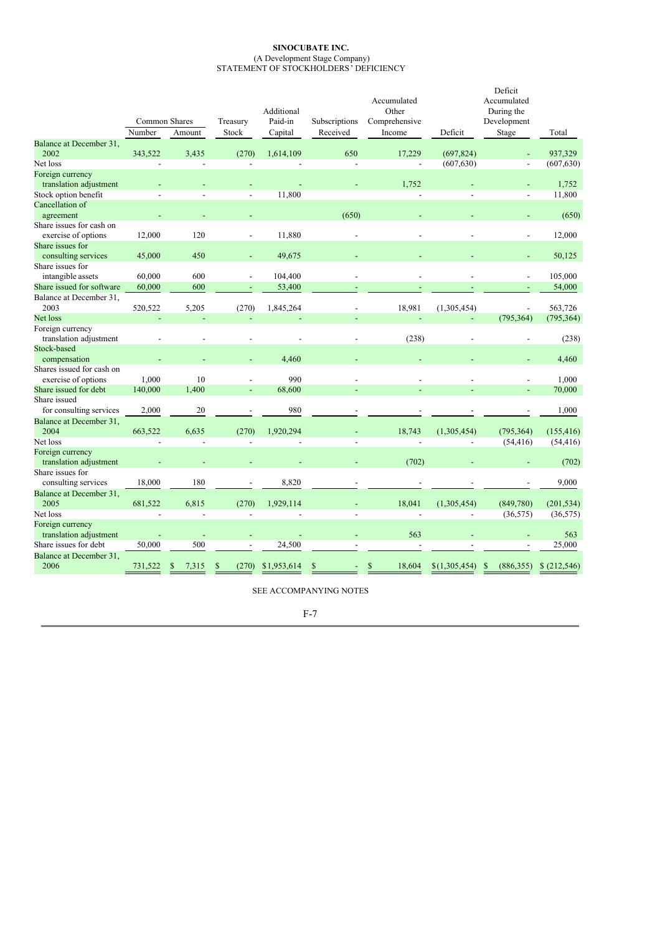#### **SINOCUBATE INC.** (A Development Stage Company) STATEMENT OF STOCKHOLDERS' DEFICIENCY

|                                            | Number         | Common Shares<br>Amount | Treasury<br>Stock        | Additional<br>Paid-in<br>Capital | Subscriptions<br>Received | Accumulated<br>Other<br>Comprehensive<br>Income | Deficit        | Deficit<br>Accumulated<br>During the<br>Development<br>Stage | Total       |
|--------------------------------------------|----------------|-------------------------|--------------------------|----------------------------------|---------------------------|-------------------------------------------------|----------------|--------------------------------------------------------------|-------------|
| Balance at December 31,                    |                |                         |                          |                                  |                           |                                                 |                |                                                              |             |
| 2002                                       | 343,522        | 3,435                   | (270)                    | 1,614,109                        | 650                       | 17,229                                          | (697, 824)     | L,                                                           | 937,329     |
| Net loss                                   |                | $\overline{a}$          | ÷                        |                                  | $\overline{a}$            | $\blacksquare$                                  | (607, 630)     | $\overline{\phantom{a}}$                                     | (607, 630)  |
| Foreign currency                           |                |                         |                          |                                  |                           |                                                 |                |                                                              |             |
| translation adjustment                     |                |                         |                          |                                  |                           | 1,752                                           |                |                                                              | 1,752       |
| Stock option benefit                       | $\overline{a}$ | $\overline{a}$          | $\overline{\phantom{a}}$ | 11,800                           |                           |                                                 | $\overline{a}$ | $\overline{a}$                                               | 11,800      |
| Cancellation of                            |                |                         |                          |                                  |                           |                                                 |                |                                                              |             |
| agreement                                  |                |                         |                          |                                  | (650)                     |                                                 |                |                                                              | (650)       |
| Share issues for cash on                   |                |                         |                          |                                  |                           |                                                 |                |                                                              |             |
| exercise of options                        | 12,000         | 120                     | ÷,                       | 11,880                           |                           |                                                 |                | $\overline{a}$                                               | 12,000      |
| Share issues for                           |                |                         |                          |                                  |                           |                                                 |                |                                                              |             |
| consulting services                        | 45,000         | 450                     |                          | 49,675                           |                           |                                                 |                |                                                              | 50,125      |
| Share issues for                           |                |                         |                          |                                  |                           |                                                 |                |                                                              |             |
| intangible assets                          | 60,000         | 600                     |                          | 104,400                          |                           |                                                 |                |                                                              | 105,000     |
| Share issued for software                  | 60,000         | 600                     |                          | 53,400                           |                           |                                                 |                |                                                              | 54,000      |
| Balance at December 31,                    |                |                         |                          |                                  |                           |                                                 |                |                                                              |             |
| 2003                                       | 520,522        | 5,205                   | (270)                    | 1,845,264                        |                           | 18,981                                          | (1,305,454)    | ÷,                                                           | 563,726     |
| Net loss                                   |                |                         |                          |                                  |                           |                                                 |                | (795, 364)                                                   | (795, 364)  |
| Foreign currency<br>translation adjustment |                |                         |                          |                                  |                           | (238)                                           |                |                                                              | (238)       |
| Stock-based                                |                |                         |                          |                                  |                           |                                                 |                |                                                              |             |
| compensation                               |                |                         |                          | 4,460                            |                           |                                                 |                |                                                              | 4,460       |
| Shares issued for cash on                  |                |                         |                          |                                  |                           |                                                 |                |                                                              |             |
| exercise of options                        | 1,000          | 10                      |                          | 990                              |                           |                                                 |                |                                                              | 1,000       |
| Share issued for debt                      | 140,000        | 1.400                   | L,                       | 68,600                           |                           |                                                 |                |                                                              | 70,000      |
| Share issued                               |                |                         |                          |                                  |                           |                                                 |                |                                                              |             |
| for consulting services                    | 2,000          | 20                      |                          | 980                              |                           |                                                 |                |                                                              | 1,000       |
| Balance at December 31,                    |                |                         |                          |                                  |                           |                                                 |                |                                                              |             |
| 2004                                       | 663,522        | 6,635                   | (270)                    | 1,920,294                        |                           | 18,743                                          | (1,305,454)    | (795, 364)                                                   | (155, 416)  |
| Net loss                                   |                |                         |                          |                                  |                           |                                                 |                | (54, 416)                                                    | (54, 416)   |
| Foreign currency                           |                |                         |                          |                                  |                           |                                                 |                |                                                              |             |
| translation adjustment                     |                |                         |                          |                                  |                           | (702)                                           |                |                                                              | (702)       |
| Share issues for                           |                |                         |                          |                                  |                           |                                                 |                |                                                              |             |
| consulting services                        | 18,000         | 180                     |                          | 8,820                            |                           |                                                 |                |                                                              | 9,000       |
| Balance at December 31,<br>2005            | 681,522        | 6,815                   | (270)                    | 1,929,114                        |                           | 18,041                                          | (1,305,454)    | (849,780)                                                    | (201, 534)  |
| Net loss                                   | $\overline{a}$ | $\overline{a}$          |                          |                                  |                           |                                                 |                | (36, 575)                                                    | (36, 575)   |
| Foreign currency<br>translation adjustment |                |                         |                          |                                  |                           | 563                                             |                |                                                              | 563         |
| Share issues for debt                      | 50,000         | 500                     |                          | 24,500                           |                           |                                                 |                |                                                              | 25,000      |
| Balance at December 31,<br>2006            | 731,522        | \$<br>7,315             | \$<br>(270)              | \$1,953,614                      | $\mathbb{S}$              | \$<br>18,604                                    | \$(1,305,454)  | \$<br>(886, 355)                                             | \$(212,546) |

|  | ۰, |
|--|----|
|  |    |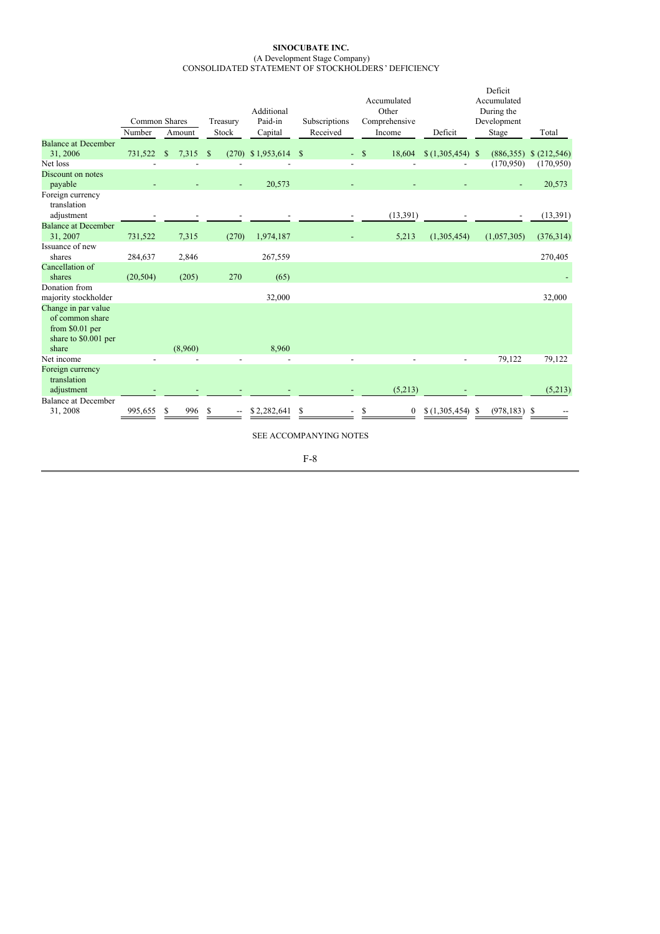#### **SINOCUBATE INC.** (A Development Stage Company) CONSOLIDATED STATEMENT OF STOCKHOLDERS' DEFICIENCY

|                                                                                   |                         |                   |                        | Additional         |                           | Accumulated<br>Other    |                  | Deficit<br>Accumulated<br>During the |                            |
|-----------------------------------------------------------------------------------|-------------------------|-------------------|------------------------|--------------------|---------------------------|-------------------------|------------------|--------------------------------------|----------------------------|
|                                                                                   | Common Shares<br>Number | Amount            | Treasury<br>Stock      | Paid-in<br>Capital | Subscriptions<br>Received | Comprehensive<br>Income | Deficit          | Development<br>Stage                 | Total                      |
| <b>Balance at December</b>                                                        |                         |                   |                        |                    |                           |                         |                  |                                      |                            |
| 31,2006                                                                           | 731,522                 | 7,315<br><b>S</b> | <sup>\$</sup><br>(270) | $$1,953,614$ \\$   |                           | $-$ \$<br>18,604        | $(1,305,454)$ \$ |                                      | $(886,355)$ \$ $(212,546)$ |
| Net loss                                                                          |                         |                   |                        |                    |                           |                         |                  | (170, 950)                           | (170,950)                  |
| Discount on notes<br>payable                                                      |                         |                   |                        | 20,573             |                           |                         |                  |                                      | 20,573                     |
| Foreign currency<br>translation<br>adjustment                                     |                         |                   |                        |                    |                           | (13,391)                |                  |                                      | (13, 391)                  |
| <b>Balance at December</b><br>31, 2007                                            | 731,522                 | 7,315             | (270)                  | 1,974,187          |                           | 5,213                   | (1,305,454)      | (1,057,305)                          | (376, 314)                 |
| Issuance of new<br>shares                                                         | 284,637                 | 2,846             |                        | 267,559            |                           |                         |                  |                                      | 270,405                    |
| Cancellation of                                                                   |                         |                   |                        |                    |                           |                         |                  |                                      |                            |
| shares                                                                            | (20, 504)               | (205)             | 270                    | (65)               |                           |                         |                  |                                      |                            |
| Donation from<br>majority stockholder                                             |                         |                   |                        | 32,000             |                           |                         |                  |                                      | 32,000                     |
| Change in par value<br>of common share<br>from \$0.01 per<br>share to \$0.001 per |                         |                   |                        |                    |                           |                         |                  |                                      |                            |
| share<br>Net income                                                               |                         | (8,960)           |                        | 8,960              |                           |                         |                  |                                      |                            |
| Foreign currency<br>translation<br>adjustment                                     |                         |                   |                        |                    |                           | (5,213)                 |                  | 79,122                               | 79,122<br>(5,213)          |
| <b>Balance at December</b><br>31,2008                                             | 995.655                 | 996<br>S          | \$.                    | \$2,282,641        | S                         | $\boldsymbol{0}$        | \$(1,305,454)    | $(978, 183)$ \$<br>-S                |                            |

SEE ACCOMPANYING NOTES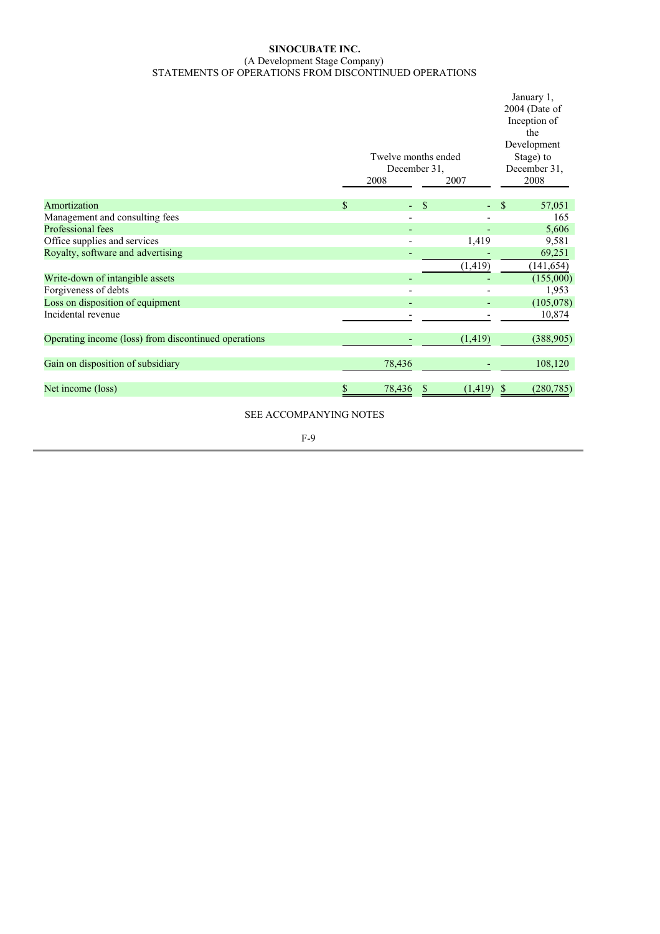### **SINOCUBATE INC.** (A Development Stage Company) STATEMENTS OF OPERATIONS FROM DISCONTINUED OPERATIONS

| Twelve months ended<br>December 31,<br>2008<br>2007                                        | January 1,<br>$2004$ (Date of<br>Inception of<br>the<br>Development<br>Stage) to<br>December 31,<br>2008 |            |  |
|--------------------------------------------------------------------------------------------|----------------------------------------------------------------------------------------------------------|------------|--|
| $\mathbb{S}$<br>Amortization<br>$\mathcal{S}$<br>٠<br>٠                                    | S                                                                                                        | 57,051     |  |
| Management and consulting fees<br>$\qquad \qquad \blacksquare$<br>$\overline{\phantom{a}}$ |                                                                                                          | 165        |  |
| Professional fees                                                                          |                                                                                                          | 5,606      |  |
| Office supplies and services<br>1,419                                                      |                                                                                                          | 9,581      |  |
| Royalty, software and advertising                                                          |                                                                                                          | 69,251     |  |
| (1, 419)                                                                                   |                                                                                                          | (141, 654) |  |
| Write-down of intangible assets                                                            |                                                                                                          | (155,000)  |  |
| Forgiveness of debts                                                                       |                                                                                                          | 1,953      |  |
| Loss on disposition of equipment                                                           |                                                                                                          | (105,078)  |  |
| Incidental revenue                                                                         |                                                                                                          | 10,874     |  |
| Operating income (loss) from discontinued operations<br>(1, 419)                           |                                                                                                          | (388, 905) |  |
| Gain on disposition of subsidiary<br>78,436                                                |                                                                                                          | 108,120    |  |
| Net income (loss)<br>78,436<br>$(1,419)$ \$<br>S<br>S                                      |                                                                                                          | (280, 785) |  |

SEE ACCOMPANYING NOTES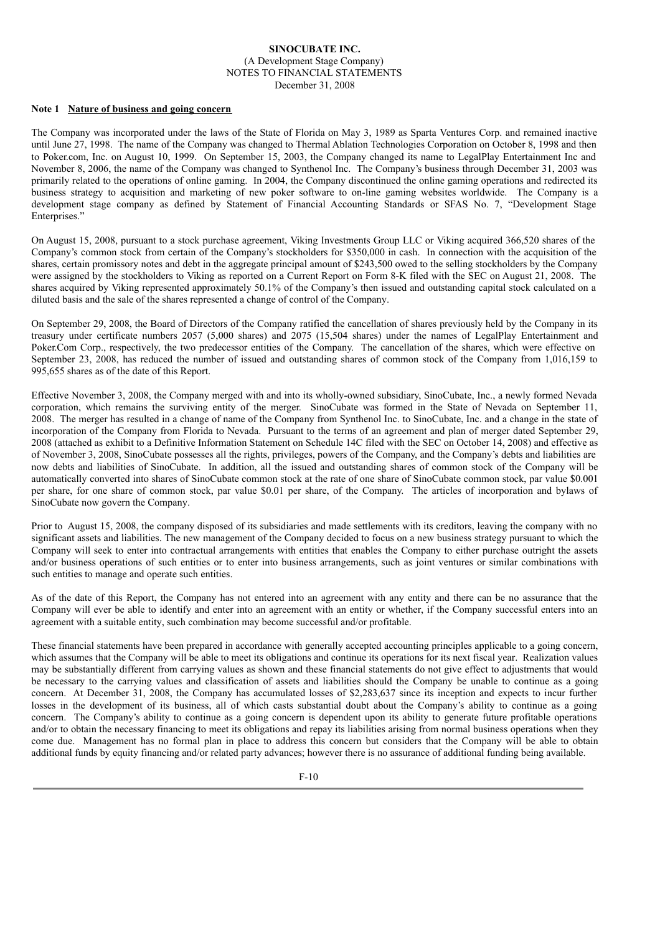#### **Note 1 Nature of business and going concern**

The Company was incorporated under the laws of the State of Florida on May 3, 1989 as Sparta Ventures Corp. and remained inactive until June 27, 1998. The name of the Company was changed to Thermal Ablation Technologies Corporation on October 8, 1998 and then to Poker.com, Inc. on August 10, 1999. On September 15, 2003, the Company changed its name to LegalPlay Entertainment Inc and November 8, 2006, the name of the Company was changed to Synthenol Inc. The Company's business through December 31, 2003 was primarily related to the operations of online gaming. In 2004, the Company discontinued the online gaming operations and redirected its business strategy to acquisition and marketing of new poker software to on-line gaming websites worldwide. The Company is a development stage company as defined by Statement of Financial Accounting Standards or SFAS No. 7, "Development Stage Enterprises."

On August 15, 2008, pursuant to a stock purchase agreement, Viking Investments Group LLC or Viking acquired 366,520 shares of the Company's common stock from certain of the Company's stockholders for \$350,000 in cash. In connection with the acquisition of the shares, certain promissory notes and debt in the aggregate principal amount of \$243,500 owed to the selling stockholders by the Company were assigned by the stockholders to Viking as reported on a Current Report on Form 8-K filed with the SEC on August 21, 2008. The shares acquired by Viking represented approximately 50.1% of the Company's then issued and outstanding capital stock calculated on a diluted basis and the sale of the shares represented a change of control of the Company.

On September 29, 2008, the Board of Directors of the Company ratified the cancellation of shares previously held by the Company in its treasury under certificate numbers 2057 (5,000 shares) and 2075 (15,504 shares) under the names of LegalPlay Entertainment and Poker.Com Corp., respectively, the two predecessor entities of the Company. The cancellation of the shares, which were effective on September 23, 2008, has reduced the number of issued and outstanding shares of common stock of the Company from 1,016,159 to 995,655 shares as of the date of this Report.

Effective November 3, 2008, the Company merged with and into its wholly-owned subsidiary, SinoCubate, Inc., a newly formed Nevada corporation, which remains the surviving entity of the merger. SinoCubate was formed in the State of Nevada on September 11, 2008. The merger has resulted in a change of name of the Company from Synthenol Inc. to SinoCubate, Inc. and a change in the state of incorporation of the Company from Florida to Nevada. Pursuant to the terms of an agreement and plan of merger dated September 29, 2008 (attached as exhibit to a Definitive Information Statement on Schedule 14C filed with the SEC on October 14, 2008) and effective as of November 3, 2008, SinoCubate possesses all the rights, privileges, powers of the Company, and the Company's debts and liabilities are now debts and liabilities of SinoCubate. In addition, all the issued and outstanding shares of common stock of the Company will be automatically converted into shares of SinoCubate common stock at the rate of one share of SinoCubate common stock, par value \$0.001 per share, for one share of common stock, par value \$0.01 per share, of the Company. The articles of incorporation and bylaws of SinoCubate now govern the Company.

Prior to August 15, 2008, the company disposed of its subsidiaries and made settlements with its creditors, leaving the company with no significant assets and liabilities. The new management of the Company decided to focus on a new business strategy pursuant to which the Company will seek to enter into contractual arrangements with entities that enables the Company to either purchase outright the assets and/or business operations of such entities or to enter into business arrangements, such as joint ventures or similar combinations with such entities to manage and operate such entities.

As of the date of this Report, the Company has not entered into an agreement with any entity and there can be no assurance that the Company will ever be able to identify and enter into an agreement with an entity or whether, if the Company successful enters into an agreement with a suitable entity, such combination may become successful and/or profitable.

These financial statements have been prepared in accordance with generally accepted accounting principles applicable to a going concern, which assumes that the Company will be able to meet its obligations and continue its operations for its next fiscal year. Realization values may be substantially different from carrying values as shown and these financial statements do not give effect to adjustments that would be necessary to the carrying values and classification of assets and liabilities should the Company be unable to continue as a going concern. At December 31, 2008, the Company has accumulated losses of \$2,283,637 since its inception and expects to incur further losses in the development of its business, all of which casts substantial doubt about the Company's ability to continue as a going concern. The Company's ability to continue as a going concern is dependent upon its ability to generate future profitable operations and/or to obtain the necessary financing to meet its obligations and repay its liabilities arising from normal business operations when they come due. Management has no formal plan in place to address this concern but considers that the Company will be able to obtain additional funds by equity financing and/or related party advances; however there is no assurance of additional funding being available.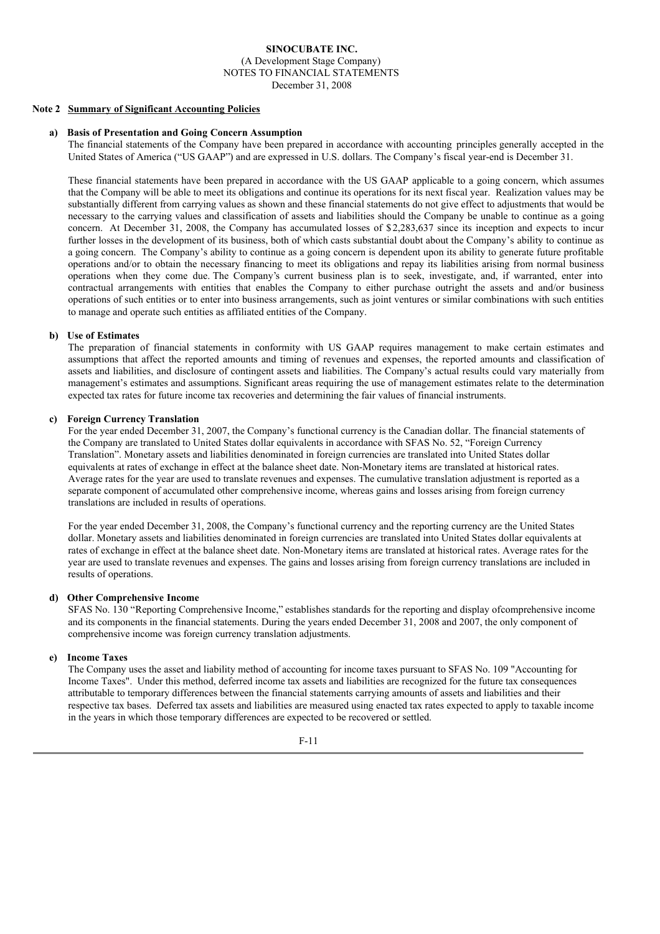#### **Note 2 Summary of Significant Accounting Policies**

#### **a) Basis of Presentation and Going Concern Assumption**

The financial statements of the Company have been prepared in accordance with accounting principles generally accepted in the United States of America ("US GAAP") and are expressed in U.S. dollars. The Company's fiscal year-end is December 31.

These financial statements have been prepared in accordance with the US GAAP applicable to a going concern, which assumes that the Company will be able to meet its obligations and continue its operations for its next fiscal year. Realization values may be substantially different from carrying values as shown and these financial statements do not give effect to adjustments that would be necessary to the carrying values and classification of assets and liabilities should the Company be unable to continue as a going concern. At December 31, 2008, the Company has accumulated losses of \$2,283,637 since its inception and expects to incur further losses in the development of its business, both of which casts substantial doubt about the Company's ability to continue as a going concern. The Company's ability to continue as a going concern is dependent upon its ability to generate future profitable operations and/or to obtain the necessary financing to meet its obligations and repay its liabilities arising from normal business operations when they come due. The Company's current business plan is to seek, investigate, and, if warranted, enter into contractual arrangements with entities that enables the Company to either purchase outright the assets and and/or business operations of such entities or to enter into business arrangements, such as joint ventures or similar combinations with such entities to manage and operate such entities as affiliated entities of the Company.

#### **b) Use of Estimates**

The preparation of financial statements in conformity with US GAAP requires management to make certain estimates and assumptions that affect the reported amounts and timing of revenues and expenses, the reported amounts and classification of assets and liabilities, and disclosure of contingent assets and liabilities. The Company's actual results could vary materially from management's estimates and assumptions. Significant areas requiring the use of management estimates relate to the determination expected tax rates for future income tax recoveries and determining the fair values of financial instruments.

#### **c) Foreign Currency Translation**

For the year ended December 31, 2007, the Company's functional currency is the Canadian dollar. The financial statements of the Company are translated to United States dollar equivalents in accordance with SFAS No. 52, "Foreign Currency Translation". Monetary assets and liabilities denominated in foreign currencies are translated into United States dollar equivalents at rates of exchange in effect at the balance sheet date. Non-Monetary items are translated at historical rates. Average rates for the year are used to translate revenues and expenses. The cumulative translation adjustment is reported as a separate component of accumulated other comprehensive income, whereas gains and losses arising from foreign currency translations are included in results of operations.

For the year ended December 31, 2008, the Company's functional currency and the reporting currency are the United States dollar. Monetary assets and liabilities denominated in foreign currencies are translated into United States dollar equivalents at rates of exchange in effect at the balance sheet date. Non-Monetary items are translated at historical rates. Average rates for the year are used to translate revenues and expenses. The gains and losses arising from foreign currency translations are included in results of operations.

#### **d) Other Comprehensive Income**

SFAS No. 130 "Reporting Comprehensive Income," establishes standards for the reporting and display ofcomprehensive income and its components in the financial statements. During the years ended December 31, 2008 and 2007, the only component of comprehensive income was foreign currency translation adjustments.

### **e) Income Taxes**

The Company uses the asset and liability method of accounting for income taxes pursuant to SFAS No. 109 "Accounting for Income Taxes". Under this method, deferred income tax assets and liabilities are recognized for the future tax consequences attributable to temporary differences between the financial statements carrying amounts of assets and liabilities and their respective tax bases. Deferred tax assets and liabilities are measured using enacted tax rates expected to apply to taxable income in the years in which those temporary differences are expected to be recovered or settled.

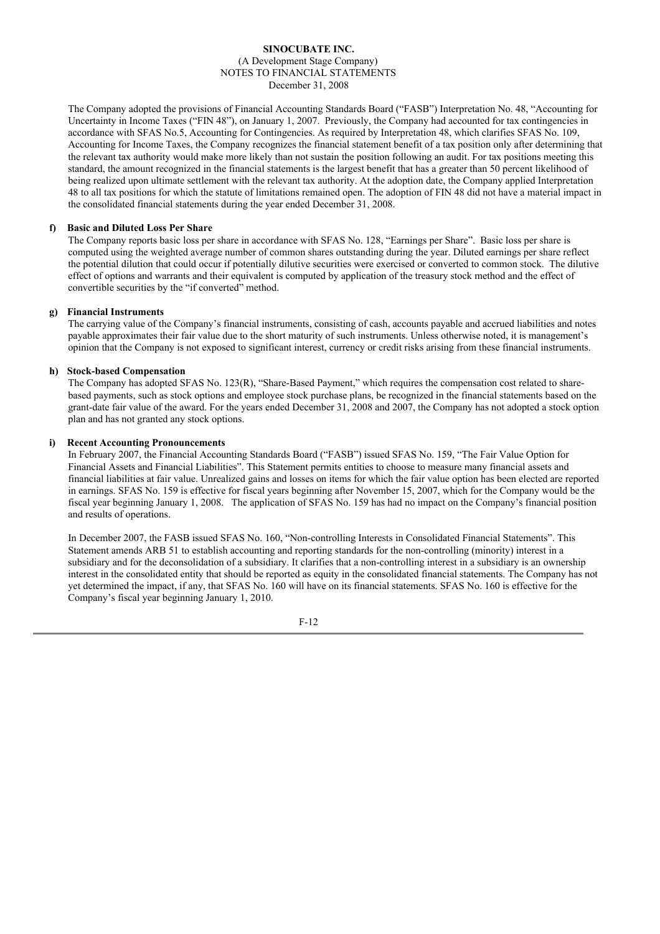The Company adopted the provisions of Financial Accounting Standards Board ("FASB") Interpretation No. 48, "Accounting for Uncertainty in Income Taxes ("FIN 48"), on January 1, 2007. Previously, the Company had accounted for tax contingencies in accordance with SFAS No.5, Accounting for Contingencies. As required by Interpretation 48, which clarifies SFAS No. 109, Accounting for Income Taxes, the Company recognizes the financial statement benefit of a tax position only after determining that the relevant tax authority would make more likely than not sustain the position following an audit. For tax positions meeting this standard, the amount recognized in the financial statements is the largest benefit that has a greater than 50 percent likelihood of being realized upon ultimate settlement with the relevant tax authority. At the adoption date, the Company applied Interpretation 48 to all tax positions for which the statute of limitations remained open. The adoption of FIN 48 did not have a material impact in the consolidated financial statements during the year ended December 31, 2008.

#### **f) Basic and Diluted Loss Per Share**

The Company reports basic loss per share in accordance with SFAS No. 128, "Earnings per Share". Basic loss per share is computed using the weighted average number of common shares outstanding during the year. Diluted earnings per share reflect the potential dilution that could occur if potentially dilutive securities were exercised or converted to common stock. The dilutive effect of options and warrants and their equivalent is computed by application of the treasury stock method and the effect of convertible securities by the "if converted" method.

### **g) Financial Instruments**

The carrying value of the Company's financial instruments, consisting of cash, accounts payable and accrued liabilities and notes payable approximates their fair value due to the short maturity of such instruments. Unless otherwise noted, it is management's opinion that the Company is not exposed to significant interest, currency or credit risks arising from these financial instruments.

### **h) Stock-based Compensation**

The Company has adopted SFAS No. 123(R), "Share-Based Payment," which requires the compensation cost related to sharebased payments, such as stock options and employee stock purchase plans, be recognized in the financial statements based on the grant-date fair value of the award. For the years ended December 31, 2008 and 2007, the Company has not adopted a stock option plan and has not granted any stock options.

### **i) Recent Accounting Pronouncements**

In February 2007, the Financial Accounting Standards Board ("FASB") issued SFAS No. 159, "The Fair Value Option for Financial Assets and Financial Liabilities". This Statement permits entities to choose to measure many financial assets and financial liabilities at fair value. Unrealized gains and losses on items for which the fair value option has been elected are reported in earnings. SFAS No. 159 is effective for fiscal years beginning after November 15, 2007, which for the Company would be the fiscal year beginning January 1, 2008. The application of SFAS No. 159 has had no impact on the Company's financial position and results of operations.

In December 2007, the FASB issued SFAS No. 160, "Non-controlling Interests in Consolidated Financial Statements". This Statement amends ARB 51 to establish accounting and reporting standards for the non-controlling (minority) interest in a subsidiary and for the deconsolidation of a subsidiary. It clarifies that a non-controlling interest in a subsidiary is an ownership interest in the consolidated entity that should be reported as equity in the consolidated financial statements. The Company has not yet determined the impact, if any, that SFAS No. 160 will have on its financial statements. SFAS No. 160 is effective for the Company's fiscal year beginning January 1, 2010.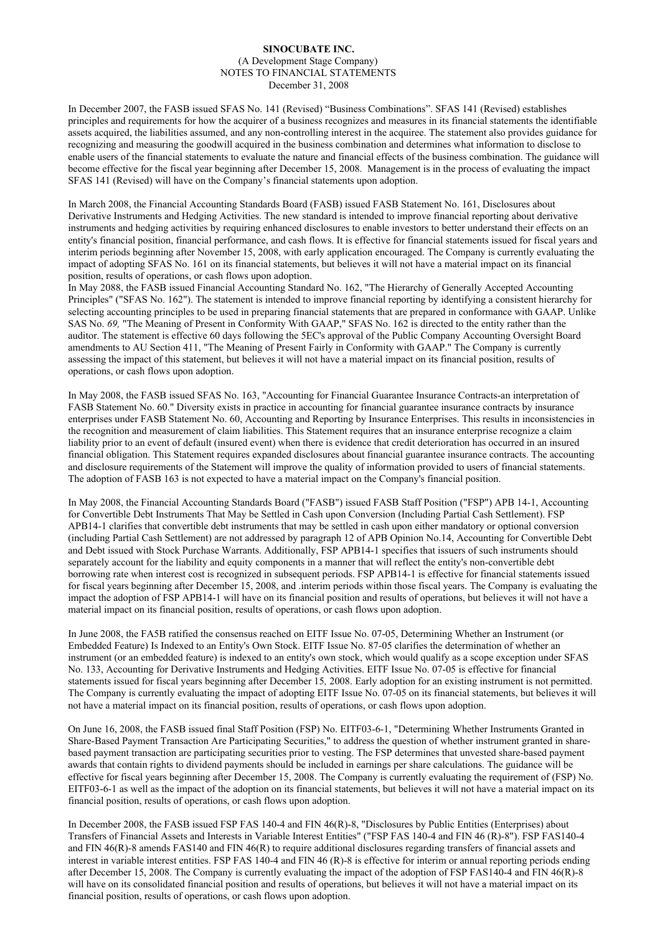In December 2007, the FASB issued SFAS No. 141 (Revised) "Business Combinations". SFAS 141 (Revised) establishes principles and requirements for how the acquirer of a business recognizes and measures in its financial statements the identifiable assets acquired, the liabilities assumed, and any non-controlling interest in the acquiree. The statement also provides guidance for recognizing and measuring the goodwill acquired in the business combination and determines what information to disclose to enable users of the financial statements to evaluate the nature and financial effects of the business combination. The guidance will become effective for the fiscal year beginning after December 15, 2008. Management is in the process of evaluating the impact SFAS 141 (Revised) will have on the Company's financial statements upon adoption.

In March 2008, the Financial Accounting Standards Board (FASB) issued FASB Statement No. 161, Disclosures about Derivative Instruments and Hedging Activities. The new standard is intended to improve financial reporting about derivative instruments and hedging activities by requiring enhanced disclosures to enable investors to better understand their effects on an entity's financial position, financial performance, and cash flows. It is effective for financial statements issued for fiscal years and interim periods beginning after November 15, 2008, with early application encouraged. The Company is currently evaluating the impact of adopting SFAS No. 161 on its financial statements, but believes it will not have a material impact on its financial position, results of operations, or cash flows upon adoption.

In May 2088, the FASB issued Financial Accounting Standard No. 162, "The Hierarchy of Generally Accepted Accounting Principles" ("SFAS No. 162"). The statement is intended to improve financial reporting by identifying a consistent hierarchy for selecting accounting principles to be used in preparing financial statements that are prepared in conformance with GAAP. Unlike SAS No. *69,* "The Meaning of Present in Conformity With GAAP," SFAS No. 162 is directed to the entity rather than the auditor. The statement is effective 60 days following the 5EC's approval of the Public Company Accounting Oversight Board amendments to AU Section 411, "The Meaning of Present Fairly in Conformity with GAAP." The Company is currently assessing the impact of this statement, but believes it will not have a material impact on its financial position, results of operations, or cash flows upon adoption.

In May 2008, the FASB issued SFAS No. 163, "Accounting for Financial Guarantee Insurance Contracts-an interpretation of FASB Statement No. 60." Diversity exists in practice in accounting for financial guarantee insurance contracts by insurance enterprises under FASB Statement No. 60, Accounting and Reporting by Insurance Enterprises. This results in inconsistencies in the recognition and measurement of claim liabilities. This Statement requires that an insurance enterprise recognize a claim liability prior to an event of default (insured event) when there is evidence that credit deterioration has occurred in an insured financial obligation. This Statement requires expanded disclosures about financial guarantee insurance contracts. The accounting and disclosure requirements of the Statement will improve the quality of information provided to users of financial statements. The adoption of FASB 163 is not expected to have a material impact on the Company's financial position.

In May 2008, the Financial Accounting Standards Board ("FASB") issued FASB Staff Position ("FSP") APB 14-1, Accounting for Convertible Debt Instruments That May be Settled in Cash upon Conversion (Including Partial Cash Settlement). FSP APB14-1 clarifies that convertible debt instruments that may be settled in cash upon either mandatory or optional conversion (including Partial Cash Settlement) are not addressed by paragraph 12 of APB Opinion No.14, Accounting for Convertible Debt and Debt issued with Stock Purchase Warrants. Additionally, FSP APB14-1 specifies that issuers of such instruments should separately account for the liability and equity components in a manner that will reflect the entity's non-convertible debt borrowing rate when interest cost is recognized in subsequent periods. FSP APB14-1 is effective for financial statements issued for fiscal years beginning after December 15, 2008, and .interim periods within those fiscal years. The Company is evaluating the impact the adoption of FSP APB14-1 will have on its financial position and results of operations, but believes it will not have a material impact on its financial position, results of operations, or cash flows upon adoption.

In June 2008, the FA5B ratified the consensus reached on EITF Issue No. 07-05, Determining Whether an Instrument (or Embedded Feature) Is Indexed to an Entity's Own Stock. EITF Issue No. 87-05 clarifies the determination of whether an instrument (or an embedded feature) is indexed to an entity's own stock, which would qualify as a scope exception under SFAS No. 133, Accounting for Derivative Instruments and Hedging Activities. EITF Issue No. 07-05 is effective for financial statements issued for fiscal years beginning after December 15*,* 2008. Early adoption for an existing instrument is not permitted. The Company is currently evaluating the impact of adopting EITF Issue No. 07-05 on its financial statements, but believes it will not have a material impact on its financial position, results of operations, or cash flows upon adoption.

On June 16, 2008, the FASB issued final Staff Position (FSP) No. EITF03-6-1, "Determining Whether Instruments Granted in Share-Based Payment Transaction Are Participating Securities," to address the question of whether instrument granted in sharebased payment transaction are participating securities prior to vesting. The FSP determines that unvested share-based payment awards that contain rights to dividend payments should be included in earnings per share calculations. The guidance will be effective for fiscal years beginning after December 15, 2008. The Company is currently evaluating the requirement of (FSP) No. EITF03-6-1 as well as the impact of the adoption on its financial statements, but believes it will not have a material impact on its financial position, results of operations, or cash flows upon adoption.

In December 2008, the FASB issued FSP FAS 140-4 and FIN 46(R)-8, "Disclosures by Public Entities (Enterprises) about Transfers of Financial Assets and Interests in Variable Interest Entities" ("FSP FAS 140-4 and FIN 46 (R)-8"). FSP FAS140-4 and FIN 46(R)-8 amends FAS140 and FIN 46(R) to require additional disclosures regarding transfers of financial assets and interest in variable interest entities. FSP FAS 140-4 and FIN 46 (R)-8 is effective for interim or annual reporting periods ending after December 15, 2008. The Company is currently evaluating the impact of the adoption of FSP FAS140-4 and FIN 46(R)-8 will have on its consolidated financial position and results of operations, but believes it will not have a material impact on its financial position, results of operations, or cash flows upon adoption.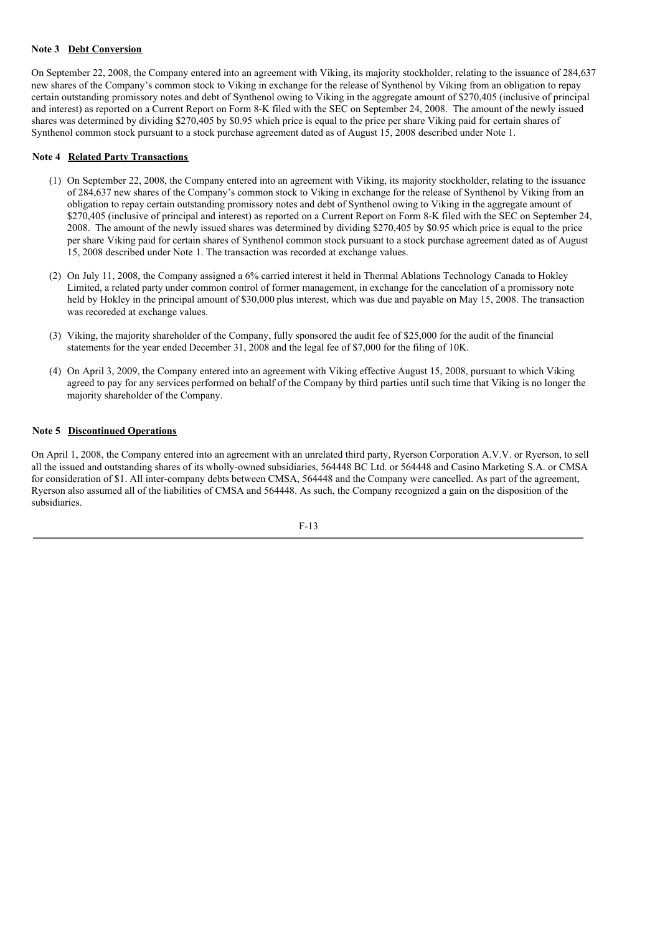### **Note 3 Debt Conversion**

On September 22, 2008, the Company entered into an agreement with Viking, its majority stockholder, relating to the issuance of 284,637 new shares of the Company's common stock to Viking in exchange for the release of Synthenol by Viking from an obligation to repay certain outstanding promissory notes and debt of Synthenol owing to Viking in the aggregate amount of \$270,405 (inclusive of principal and interest) as reported on a Current Report on Form 8-K filed with the SEC on September 24, 2008. The amount of the newly issued shares was determined by dividing \$270,405 by \$0.95 which price is equal to the price per share Viking paid for certain shares of Synthenol common stock pursuant to a stock purchase agreement dated as of August 15, 2008 described under Note 1.

### **Note 4 Related Party Transactions**

- (1) On September 22, 2008, the Company entered into an agreement with Viking, its majority stockholder, relating to the issuance of 284,637 new shares of the Company's common stock to Viking in exchange for the release of Synthenol by Viking from an obligation to repay certain outstanding promissory notes and debt of Synthenol owing to Viking in the aggregate amount of \$270,405 (inclusive of principal and interest) as reported on a Current Report on Form 8-K filed with the SEC on September 24, 2008. The amount of the newly issued shares was determined by dividing \$270,405 by \$0.95 which price is equal to the price per share Viking paid for certain shares of Synthenol common stock pursuant to a stock purchase agreement dated as of August 15, 2008 described under Note 1. The transaction was recorded at exchange values.
- (2) On July 11, 2008, the Company assigned a 6% carried interest it held in Thermal Ablations Technology Canada to Hokley Limited, a related party under common control of former management, in exchange for the cancelation of a promissory note held by Hokley in the principal amount of \$30,000 plus interest, which was due and payable on May 15, 2008. The transaction was recoreded at exchange values.
- (3) Viking, the majority shareholder of the Company, fully sponsored the audit fee of \$25,000 for the audit of the financial statements for the year ended December 31, 2008 and the legal fee of \$7,000 for the filing of 10K.
- (4) On April 3, 2009, the Company entered into an agreement with Viking effective August 15, 2008, pursuant to which Viking agreed to pay for any services performed on behalf of the Company by third parties until such time that Viking is no longer the majority shareholder of the Company.

### **Note 5 Discontinued Operations**

On April 1, 2008, the Company entered into an agreement with an unrelated third party, Ryerson Corporation A.V.V. or Ryerson, to sell all the issued and outstanding shares of its wholly-owned subsidiaries, 564448 BC Ltd. or 564448 and Casino Marketing S.A. or CMSA for consideration of \$1. All inter-company debts between CMSA, 564448 and the Company were cancelled. As part of the agreement, Ryerson also assumed all of the liabilities of CMSA and 564448. As such, the Company recognized a gain on the disposition of the subsidiaries.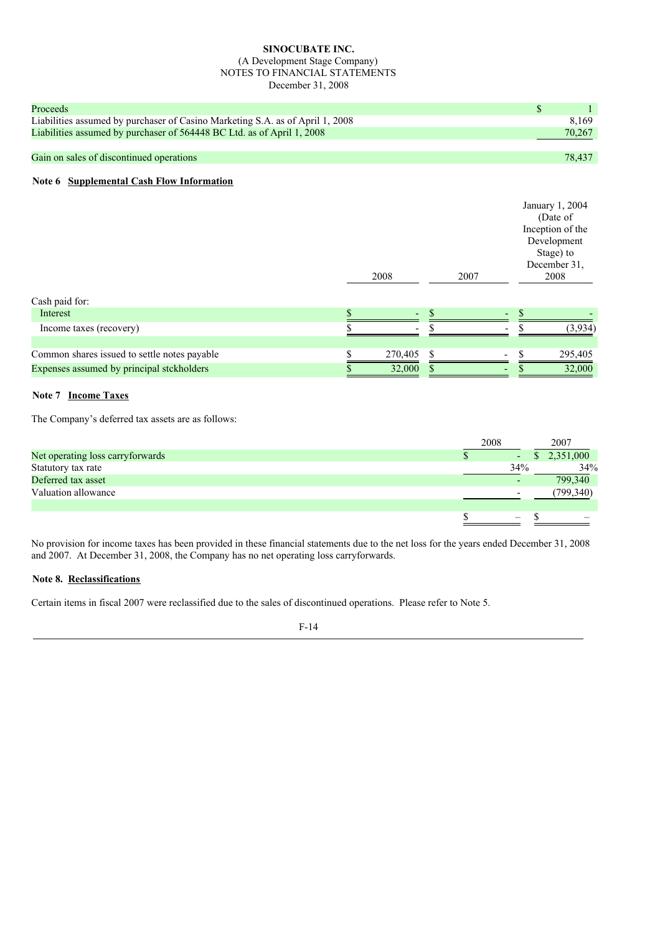## **SINOCUBATE INC.**

#### (A Development Stage Company) NOTES TO FINANCIAL STATEMENTS December 31, 2008

| Proceeds                                                                      |        |
|-------------------------------------------------------------------------------|--------|
| Liabilities assumed by purchaser of Casino Marketing S.A. as of April 1, 2008 | 8.169  |
| Liabilities assumed by purchaser of 564448 BC Ltd. as of April 1, 2008        | 70,267 |
|                                                                               |        |
| Gain on sales of discontinued operations                                      | 78.437 |

### **Note 6 Supplemental Cash Flow Information**

|                                              | 2008          | 2007 | January 1, 2004<br>(Date of<br>Inception of the<br>Development<br>Stage) to<br>December 31,<br>2008 |
|----------------------------------------------|---------------|------|-----------------------------------------------------------------------------------------------------|
| Cash paid for:                               |               |      |                                                                                                     |
| Interest                                     |               |      |                                                                                                     |
| Income taxes (recovery)                      |               |      | (3,934)                                                                                             |
|                                              |               |      |                                                                                                     |
| Common shares issued to settle notes payable | \$<br>270,405 |      | 295,405                                                                                             |
| Expenses assumed by principal stckholders    | 32,000        |      | 32,000                                                                                              |

### **Note 7 Income Taxes**

The Company's deferred tax assets are as follows:

|                                  | 2008 | 2007        |
|----------------------------------|------|-------------|
| Net operating loss carryforwards |      | \$2,351,000 |
| Statutory tax rate               | 34%  | 34%         |
| Deferred tax asset               |      | 799,340     |
| Valuation allowance              |      | (799, 340)  |
|                                  |      |             |
|                                  |      |             |
|                                  |      |             |

No provision for income taxes has been provided in these financial statements due to the net loss for the years ended December 31, 2008 and 2007. At December 31, 2008, the Company has no net operating loss carryforwards.

### **Note 8. Reclassifications**

Certain items in fiscal 2007 were reclassified due to the sales of discontinued operations. Please refer to Note 5.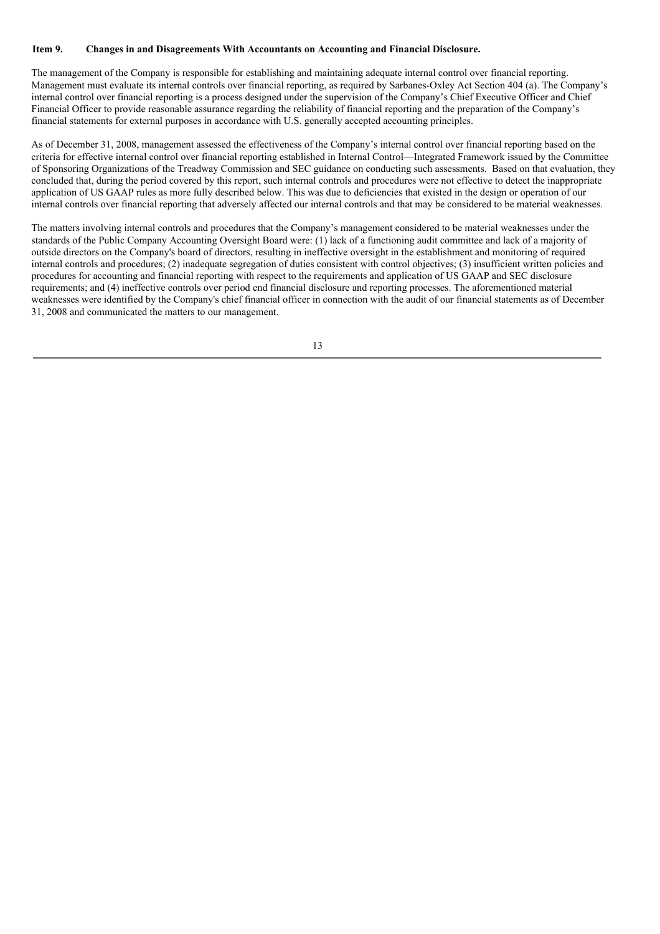### **Item 9. Changes in and Disagreements With Accountants on Accounting and Financial Disclosure.**

The management of the Company is responsible for establishing and maintaining adequate internal control over financial reporting. Management must evaluate its internal controls over financial reporting, as required by Sarbanes-Oxley Act Section 404 (a). The Company's internal control over financial reporting is a process designed under the supervision of the Company's Chief Executive Officer and Chief Financial Officer to provide reasonable assurance regarding the reliability of financial reporting and the preparation of the Company's financial statements for external purposes in accordance with U.S. generally accepted accounting principles.

As of December 31, 2008, management assessed the effectiveness of the Company's internal control over financial reporting based on the criteria for effective internal control over financial reporting established in Internal Control—Integrated Framework issued by the Committee of Sponsoring Organizations of the Treadway Commission and SEC guidance on conducting such assessments. Based on that evaluation, they concluded that, during the period covered by this report, such internal controls and procedures were not effective to detect the inappropriate application of US GAAP rules as more fully described below. This was due to deficiencies that existed in the design or operation of our internal controls over financial reporting that adversely affected our internal controls and that may be considered to be material weaknesses.

The matters involving internal controls and procedures that the Company's management considered to be material weaknesses under the standards of the Public Company Accounting Oversight Board were: (1) lack of a functioning audit committee and lack of a majority of outside directors on the Company's board of directors, resulting in ineffective oversight in the establishment and monitoring of required internal controls and procedures; (2) inadequate segregation of duties consistent with control objectives; (3) insufficient written policies and procedures for accounting and financial reporting with respect to the requirements and application of US GAAP and SEC disclosure requirements; and (4) ineffective controls over period end financial disclosure and reporting processes. The aforementioned material weaknesses were identified by the Company's chief financial officer in connection with the audit of our financial statements as of December 31, 2008 and communicated the matters to our management.

13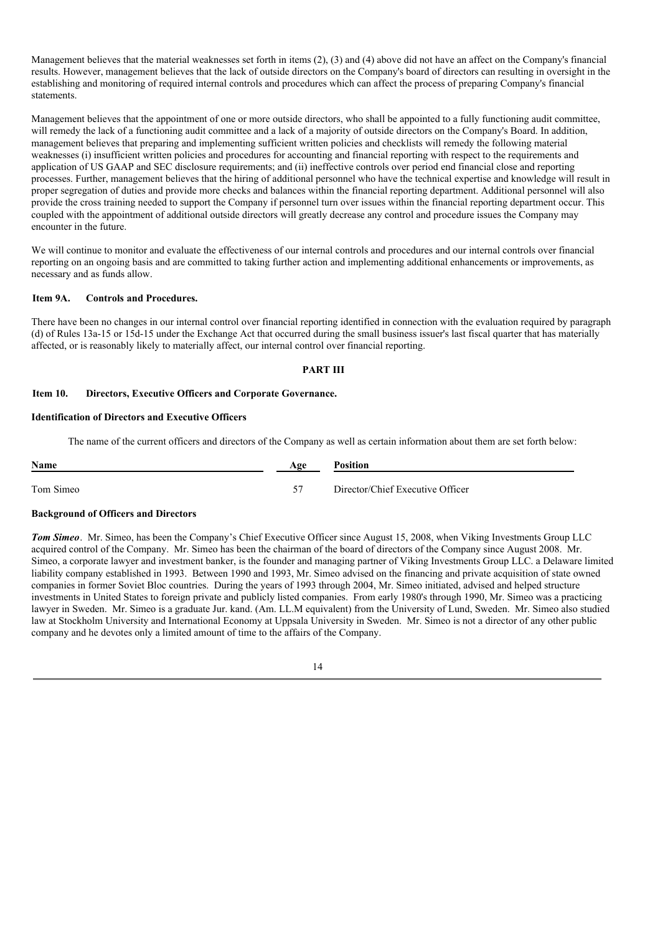Management believes that the material weaknesses set forth in items (2), (3) and (4) above did not have an affect on the Company's financial results. However, management believes that the lack of outside directors on the Company's board of directors can resulting in oversight in the establishing and monitoring of required internal controls and procedures which can affect the process of preparing Company's financial statements.

Management believes that the appointment of one or more outside directors, who shall be appointed to a fully functioning audit committee, will remedy the lack of a functioning audit committee and a lack of a majority of outside directors on the Company's Board. In addition, management believes that preparing and implementing sufficient written policies and checklists will remedy the following material weaknesses (i) insufficient written policies and procedures for accounting and financial reporting with respect to the requirements and application of US GAAP and SEC disclosure requirements; and (ii) ineffective controls over period end financial close and reporting processes. Further, management believes that the hiring of additional personnel who have the technical expertise and knowledge will result in proper segregation of duties and provide more checks and balances within the financial reporting department. Additional personnel will also provide the cross training needed to support the Company if personnel turn over issues within the financial reporting department occur. This coupled with the appointment of additional outside directors will greatly decrease any control and procedure issues the Company may encounter in the future.

We will continue to monitor and evaluate the effectiveness of our internal controls and procedures and our internal controls over financial reporting on an ongoing basis and are committed to taking further action and implementing additional enhancements or improvements, as necessary and as funds allow.

### **Item 9A. Controls and Procedures.**

There have been no changes in our internal control over financial reporting identified in connection with the evaluation required by paragraph (d) of Rules 13a-15 or 15d-15 under the Exchange Act that occurred during the small business issuer's last fiscal quarter that has materially affected, or is reasonably likely to materially affect, our internal control over financial reporting.

### **PART III**

### **Item 10. Directors, Executive Officers and Corporate Governance.**

### **Identification of Directors and Executive Officers**

The name of the current officers and directors of the Company as well as certain information about them are set forth below:

| Name      | Age | <b>Position</b>                  |
|-----------|-----|----------------------------------|
| Tom Simeo | 57  | Director/Chief Executive Officer |

#### **Background of Officers and Directors**

*Tom Simeo*. Mr. Simeo, has been the Company's Chief Executive Officer since August 15, 2008, when Viking Investments Group LLC acquired control of the Company. Mr. Simeo has been the chairman of the board of directors of the Company since August 2008. Mr. Simeo, a corporate lawyer and investment banker, is the founder and managing partner of Viking Investments Group LLC. a Delaware limited liability company established in 1993. Between 1990 and 1993, Mr. Simeo advised on the financing and private acquisition of state owned companies in former Soviet Bloc countries. During the years of 1993 through 2004, Mr. Simeo initiated, advised and helped structure investments in United States to foreign private and publicly listed companies. From early 1980's through 1990, Mr. Simeo was a practicing lawyer in Sweden. Mr. Simeo is a graduate Jur. kand. (Am. LL.M equivalent) from the University of Lund, Sweden. Mr. Simeo also studied law at Stockholm University and International Economy at Uppsala University in Sweden. Mr. Simeo is not a director of any other public company and he devotes only a limited amount of time to the affairs of the Company.

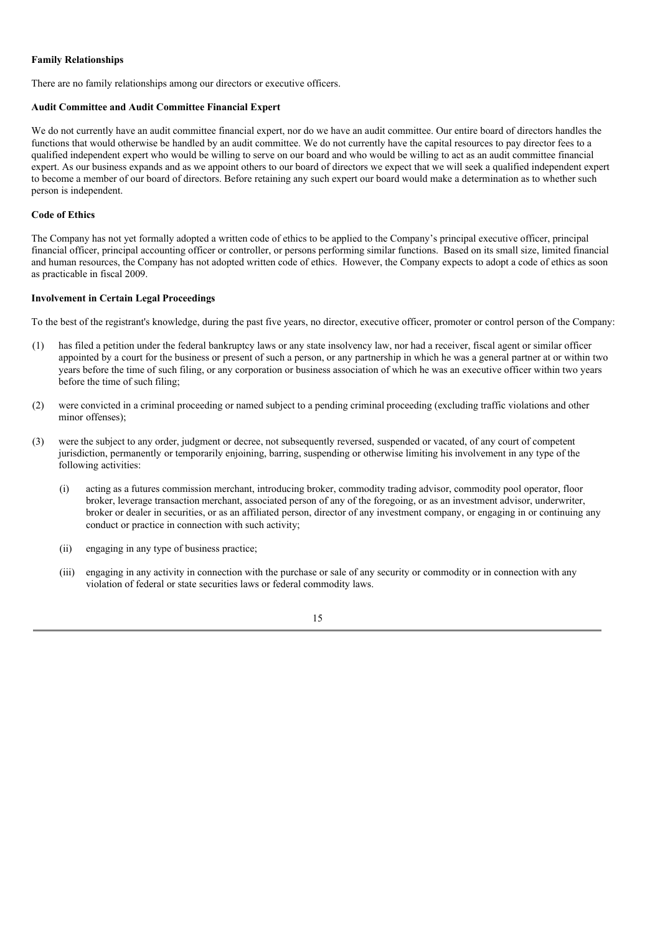### **Family Relationships**

There are no family relationships among our directors or executive officers.

#### **Audit Committee and Audit Committee Financial Expert**

We do not currently have an audit committee financial expert, nor do we have an audit committee. Our entire board of directors handles the functions that would otherwise be handled by an audit committee. We do not currently have the capital resources to pay director fees to a qualified independent expert who would be willing to serve on our board and who would be willing to act as an audit committee financial expert. As our business expands and as we appoint others to our board of directors we expect that we will seek a qualified independent expert to become a member of our board of directors. Before retaining any such expert our board would make a determination as to whether such person is independent.

#### **Code of Ethics**

The Company has not yet formally adopted a written code of ethics to be applied to the Company's principal executive officer, principal financial officer, principal accounting officer or controller, or persons performing similar functions. Based on its small size, limited financial and human resources, the Company has not adopted written code of ethics. However, the Company expects to adopt a code of ethics as soon as practicable in fiscal 2009.

#### **Involvement in Certain Legal Proceedings**

To the best of the registrant's knowledge, during the past five years, no director, executive officer, promoter or control person of the Company:

- (1) has filed a petition under the federal bankruptcy laws or any state insolvency law, nor had a receiver, fiscal agent or similar officer appointed by a court for the business or present of such a person, or any partnership in which he was a general partner at or within two years before the time of such filing, or any corporation or business association of which he was an executive officer within two years before the time of such filing;
- (2) were convicted in a criminal proceeding or named subject to a pending criminal proceeding (excluding traffic violations and other minor offenses);
- (3) were the subject to any order, judgment or decree, not subsequently reversed, suspended or vacated, of any court of competent jurisdiction, permanently or temporarily enjoining, barring, suspending or otherwise limiting his involvement in any type of the following activities:
	- (i) acting as a futures commission merchant, introducing broker, commodity trading advisor, commodity pool operator, floor broker, leverage transaction merchant, associated person of any of the foregoing, or as an investment advisor, underwriter, broker or dealer in securities, or as an affiliated person, director of any investment company, or engaging in or continuing any conduct or practice in connection with such activity;
	- (ii) engaging in any type of business practice;
	- (iii) engaging in any activity in connection with the purchase or sale of any security or commodity or in connection with any violation of federal or state securities laws or federal commodity laws.

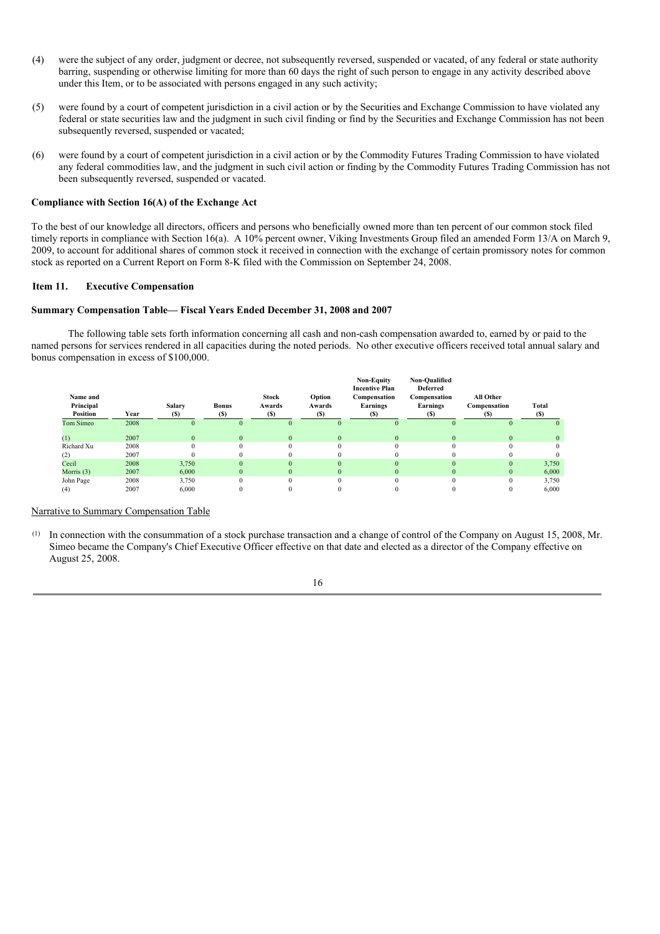- (4) were the subject of any order, judgment or decree, not subsequently reversed, suspended or vacated, of any federal or state authority barring, suspending or otherwise limiting for more than 60 days the right of such person to engage in any activity described above under this Item, or to be associated with persons engaged in any such activity;
- (5) were found by a court of competent jurisdiction in a civil action or by the Securities and Exchange Commission to have violated any federal or state securities law and the judgment in such civil finding or find by the Securities and Exchange Commission has not been subsequently reversed, suspended or vacated;
- (6) were found by a court of competent jurisdiction in a civil action or by the Commodity Futures Trading Commission to have violated any federal commodities law, and the judgment in such civil action or finding by the Commodity Futures Trading Commission has not been subsequently reversed, suspended or vacated.

### **Compliance with Section 16(A) of the Exchange Act**

To the best of our knowledge all directors, officers and persons who beneficially owned more than ten percent of our common stock filed timely reports in compliance with Section 16(a). A 10% percent owner, Viking Investments Group filed an amended Form 13/A on March 9, 2009, to account for additional shares of common stock it received in connection with the exchange of certain promissory notes for common stock as reported on a Current Report on Form 8-K filed with the Commission on September 24, 2008.

### **Item 11. Executive Compensation**

### **Summary Compensation Table— Fiscal Years Ended December 31, 2008 and 2007**

The following table sets forth information concerning all cash and non-cash compensation awarded to, earned by or paid to the named persons for services rendered in all capacities during the noted periods. No other executive officers received total annual salary and bonus compensation in excess of \$100,000.

| Name and<br>Principal<br>Position | Year | Salary<br>(S) | <b>Bonus</b><br>(S) | <b>Stock</b><br>Awards<br>(S) | Option<br>Awards<br>(S) | <b>Non-Equity</b><br><b>Incentive Plan</b><br>Compensation<br>Earnings<br>(S) | Non-Qualified<br><b>Deferred</b><br>Compensation<br>Earnings<br>(S) | All Other<br>Compensation<br>(S) | Total<br>(S) |
|-----------------------------------|------|---------------|---------------------|-------------------------------|-------------------------|-------------------------------------------------------------------------------|---------------------------------------------------------------------|----------------------------------|--------------|
| Tom Simeo                         | 2008 | $\Omega$      | $\Omega$            | $\Omega$                      | $\Omega$                | $\Omega$                                                                      | $\Omega$                                                            | $\Omega$                         | $\Omega$     |
| (1)                               | 2007 | $\Omega$      | $\mathbf{0}$        | $\mathbf{0}$                  | $\Omega$                | $\Omega$                                                                      | $\mathbf{0}$                                                        | $\Omega$                         | $\Omega$     |
| Richard Xu                        | 2008 | $\Omega$      | $\Omega$            | $\Omega$                      | $\Omega$                | $\Omega$                                                                      | $\Omega$                                                            |                                  | $\Omega$     |
| (2)                               | 2007 |               |                     |                               |                         |                                                                               |                                                                     |                                  | 0            |
| Cecil                             | 2008 | 3,750         | $\Omega$            | $\Omega$                      | $\Omega$                | $\Omega$                                                                      | $\Omega$                                                            | $\Omega$                         | 3,750        |
| Morris $(3)$                      | 2007 | 6.000         | $\Omega$            | $\Omega$                      | $\Omega$                | $\Omega$                                                                      | $\Omega$                                                            | $\Omega$                         | 6,000        |
| John Page                         | 2008 | 3,750         | $\Omega$            | 0                             | $\Omega$                | $\Omega$                                                                      | $\Omega$                                                            |                                  | 3,750        |
| (4)                               | 2007 | 6,000         | $\Omega$            |                               |                         |                                                                               |                                                                     | 0                                | 6,000        |

### Narrative to Summary Compensation Table

(1) In connection with the consummation of a stock purchase transaction and a change of control of the Company on August 15, 2008, Mr. Simeo became the Company's Chief Executive Officer effective on that date and elected as a director of the Company effective on August 25, 2008.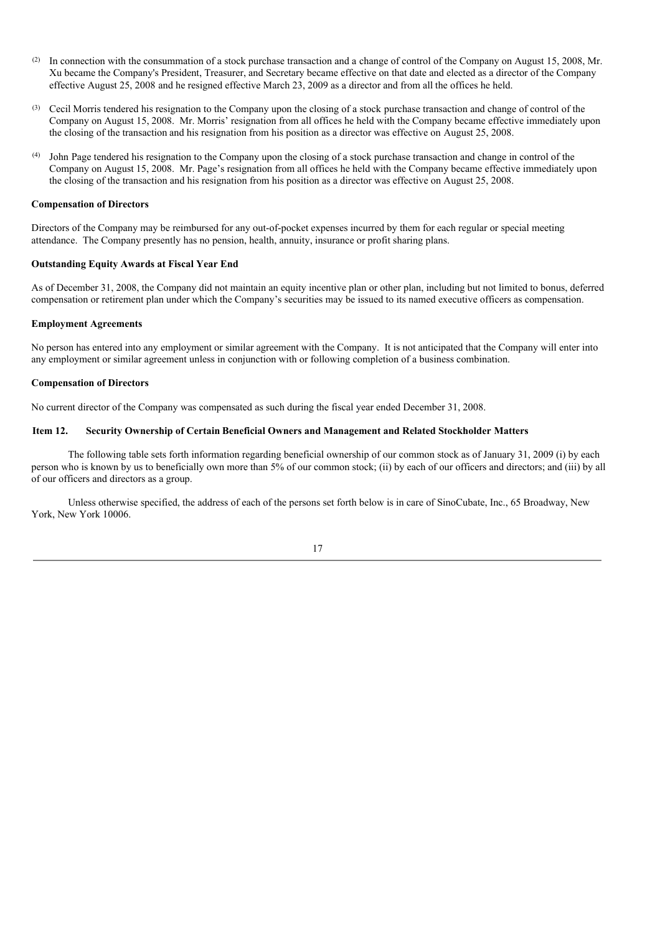- (2) In connection with the consummation of a stock purchase transaction and a change of control of the Company on August 15, 2008, Mr. Xu became the Company's President, Treasurer, and Secretary became effective on that date and elected as a director of the Company effective August 25, 2008 and he resigned effective March 23, 2009 as a director and from all the offices he held.
- (3) Cecil Morris tendered his resignation to the Company upon the closing of a stock purchase transaction and change of control of the Company on August 15, 2008. Mr. Morris' resignation from all offices he held with the Company became effective immediately upon the closing of the transaction and his resignation from his position as a director was effective on August 25, 2008.
- (4) John Page tendered his resignation to the Company upon the closing of a stock purchase transaction and change in control of the Company on August 15, 2008. Mr. Page's resignation from all offices he held with the Company became effective immediately upon the closing of the transaction and his resignation from his position as a director was effective on August 25, 2008.

#### **Compensation of Directors**

Directors of the Company may be reimbursed for any out-of-pocket expenses incurred by them for each regular or special meeting attendance. The Company presently has no pension, health, annuity, insurance or profit sharing plans.

#### **Outstanding Equity Awards at Fiscal Year End**

As of December 31, 2008, the Company did not maintain an equity incentive plan or other plan, including but not limited to bonus, deferred compensation or retirement plan under which the Company's securities may be issued to its named executive officers as compensation.

### **Employment Agreements**

No person has entered into any employment or similar agreement with the Company. It is not anticipated that the Company will enter into any employment or similar agreement unless in conjunction with or following completion of a business combination.

### **Compensation of Directors**

No current director of the Company was compensated as such during the fiscal year ended December 31, 2008.

### **Item 12. Security Ownership of Certain Beneficial Owners and Management and Related Stockholder Matters**

The following table sets forth information regarding beneficial ownership of our common stock as of January 31, 2009 (i) by each person who is known by us to beneficially own more than 5% of our common stock; (ii) by each of our officers and directors; and (iii) by all of our officers and directors as a group.

Unless otherwise specified, the address of each of the persons set forth below is in care of SinoCubate, Inc., 65 Broadway, New York, New York 10006.

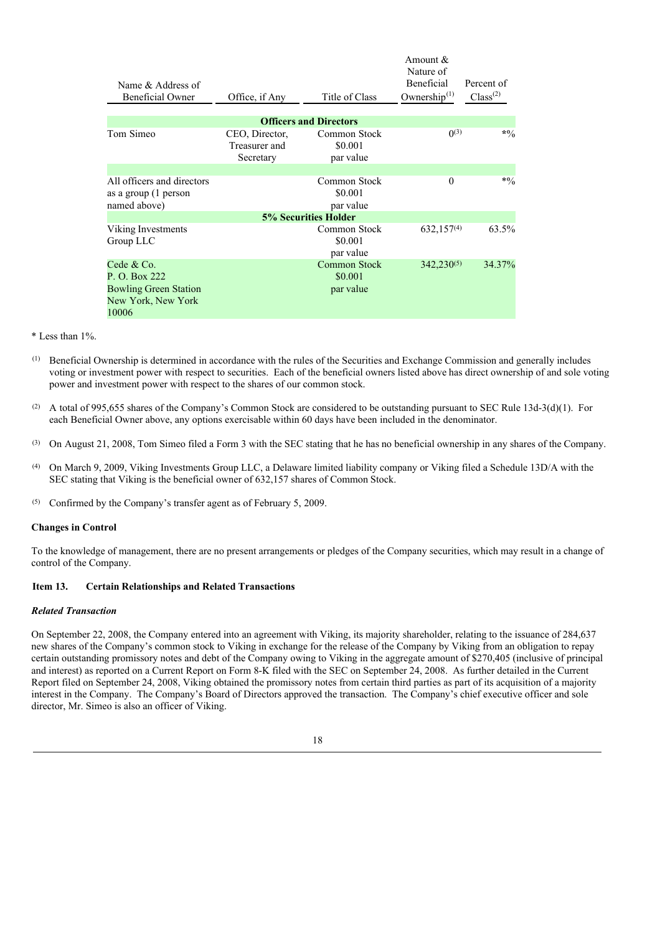| Name & Address of<br><b>Beneficial Owner</b>                                               | Office, if Any                               | Title of Class                       | Amount &<br>Nature of<br>Beneficial<br>Ownership $(1)$ | Percent of<br>Class <sup>(2)</sup> |
|--------------------------------------------------------------------------------------------|----------------------------------------------|--------------------------------------|--------------------------------------------------------|------------------------------------|
|                                                                                            |                                              |                                      |                                                        |                                    |
|                                                                                            |                                              | <b>Officers and Directors</b>        |                                                        |                                    |
| Tom Simeo                                                                                  | CEO, Director,<br>Treasurer and<br>Secretary | Common Stock<br>\$0.001<br>par value | (1)(3)                                                 | $*9/0$                             |
|                                                                                            |                                              | Common Stock                         |                                                        | $*9/0$                             |
| All officers and directors<br>as a group (1 person<br>named above)                         |                                              | \$0.001<br>par value                 | $\Omega$                                               |                                    |
|                                                                                            |                                              | <b>5% Securities Holder</b>          |                                                        |                                    |
| Viking Investments<br>Group LLC                                                            |                                              | Common Stock<br>\$0.001<br>par value | $632,157^{(4)}$                                        | 63.5%                              |
| Cede & Co.<br>P. O. Box 222<br><b>Bowling Green Station</b><br>New York, New York<br>10006 |                                              | Common Stock<br>\$0.001<br>par value | $342,230^{(5)}$                                        | 34.37%                             |

- \* Less than 1%.
- (1) Beneficial Ownership is determined in accordance with the rules of the Securities and Exchange Commission and generally includes voting or investment power with respect to securities. Each of the beneficial owners listed above has direct ownership of and sole voting power and investment power with respect to the shares of our common stock.
- (2) A total of 995,655 shares of the Company's Common Stock are considered to be outstanding pursuant to SEC Rule 13d-3(d)(1). For each Beneficial Owner above, any options exercisable within 60 days have been included in the denominator.
- (3) On August 21, 2008, Tom Simeo filed a Form 3 with the SEC stating that he has no beneficial ownership in any shares of the Company.
- (4) On March 9, 2009, Viking Investments Group LLC, a Delaware limited liability company or Viking filed a Schedule 13D/A with the SEC stating that Viking is the beneficial owner of 632,157 shares of Common Stock.
- (5) Confirmed by the Company's transfer agent as of February 5, 2009.

### **Changes in Control**

To the knowledge of management, there are no present arrangements or pledges of the Company securities, which may result in a change of control of the Company.

#### **Item 13. Certain Relationships and Related Transactions**

#### *Related Transaction*

On September 22, 2008, the Company entered into an agreement with Viking, its majority shareholder, relating to the issuance of 284,637 new shares of the Company's common stock to Viking in exchange for the release of the Company by Viking from an obligation to repay certain outstanding promissory notes and debt of the Company owing to Viking in the aggregate amount of \$270,405 (inclusive of principal and interest) as reported on a Current Report on Form 8-K filed with the SEC on September 24, 2008. As further detailed in the Current Report filed on September 24, 2008, Viking obtained the promissory notes from certain third parties as part of its acquisition of a majority interest in the Company. The Company's Board of Directors approved the transaction. The Company's chief executive officer and sole director, Mr. Simeo is also an officer of Viking.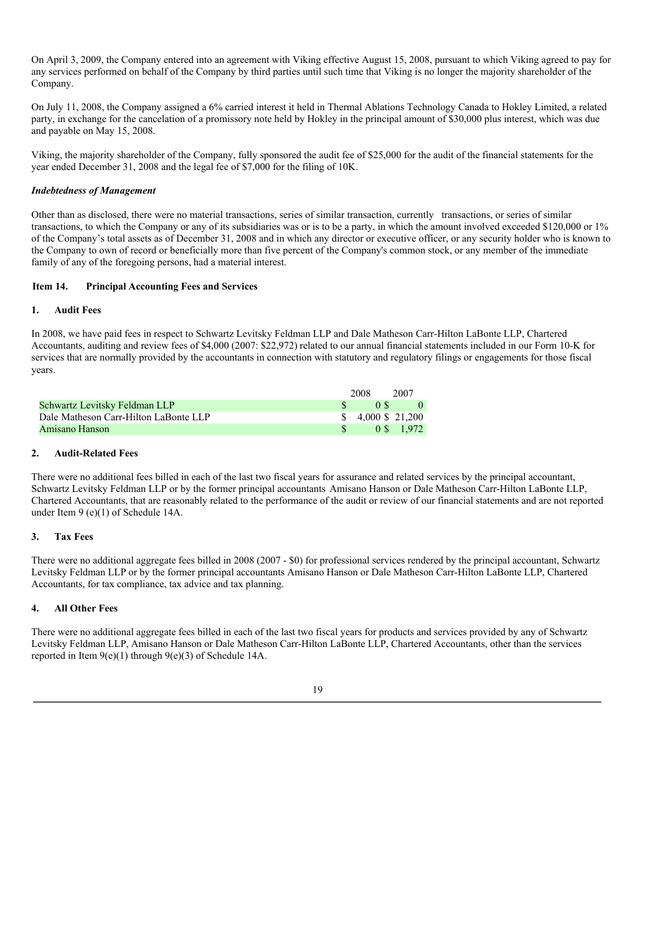On April 3, 2009, the Company entered into an agreement with Viking effective August 15, 2008, pursuant to which Viking agreed to pay for any services performed on behalf of the Company by third parties until such time that Viking is no longer the majority shareholder of the Company.

On July 11, 2008, the Company assigned a 6% carried interest it held in Thermal Ablations Technology Canada to Hokley Limited, a related party, in exchange for the cancelation of a promissory note held by Hokley in the principal amount of \$30,000 plus interest, which was due and payable on May 15, 2008.

Viking, the majority shareholder of the Company, fully sponsored the audit fee of \$25,000 for the audit of the financial statements for the year ended December 31, 2008 and the legal fee of \$7,000 for the filing of 10K.

### *Indebtedness of Management*

Other than as disclosed, there were no material transactions, series of similar transaction, currently transactions, or series of similar transactions, to which the Company or any of its subsidiaries was or is to be a party, in which the amount involved exceeded \$120,000 or 1% of the Company's total assets as of December 31, 2008 and in which any director or executive officer, or any security holder who is known to the Company to own of record or beneficially more than five percent of the Company's common stock, or any member of the immediate family of any of the foregoing persons, had a material interest.

### **Item 14. Principal Accounting Fees and Services**

### **1. Audit Fees**

In 2008, we have paid fees in respect to Schwartz Levitsky Feldman LLP and Dale Matheson Carr-Hilton LaBonte LLP, Chartered Accountants, auditing and review fees of \$4,000 (2007: \$22,972) related to our annual financial statements included in our Form 10-K for services that are normally provided by the accountants in connection with statutory and regulatory filings or engagements for those fiscal years.

|                                       | 2008                      | 2007       |
|---------------------------------------|---------------------------|------------|
| Schwartz Levitsky Feldman LLP         | 0S                        |            |
| Dale Matheson Carr-Hilton LaBonte LLP | $$4,000 \text{ } $21,200$ |            |
| Amisano Hanson                        |                           | 0 \$ 1.972 |

### **2. Audit-Related Fees**

There were no additional fees billed in each of the last two fiscal years for assurance and related services by the principal accountant, Schwartz Levitsky Feldman LLP or by the former principal accountants Amisano Hanson or Dale Matheson Carr-Hilton LaBonte LLP, Chartered Accountants, that are reasonably related to the performance of the audit or review of our financial statements and are not reported under Item 9 (e)(1) of Schedule 14A.

### **3. Tax Fees**

There were no additional aggregate fees billed in 2008 (2007 - \$0) for professional services rendered by the principal accountant, Schwartz Levitsky Feldman LLP or by the former principal accountants Amisano Hanson or Dale Matheson Carr-Hilton LaBonte LLP, Chartered Accountants, for tax compliance, tax advice and tax planning.

### **4. All Other Fees**

There were no additional aggregate fees billed in each of the last two fiscal years for products and services provided by any of Schwartz Levitsky Feldman LLP, Amisano Hanson or Dale Matheson Carr-Hilton LaBonte LLP, Chartered Accountants, other than the services reported in Item 9(e)(1) through 9(e)(3) of Schedule 14A.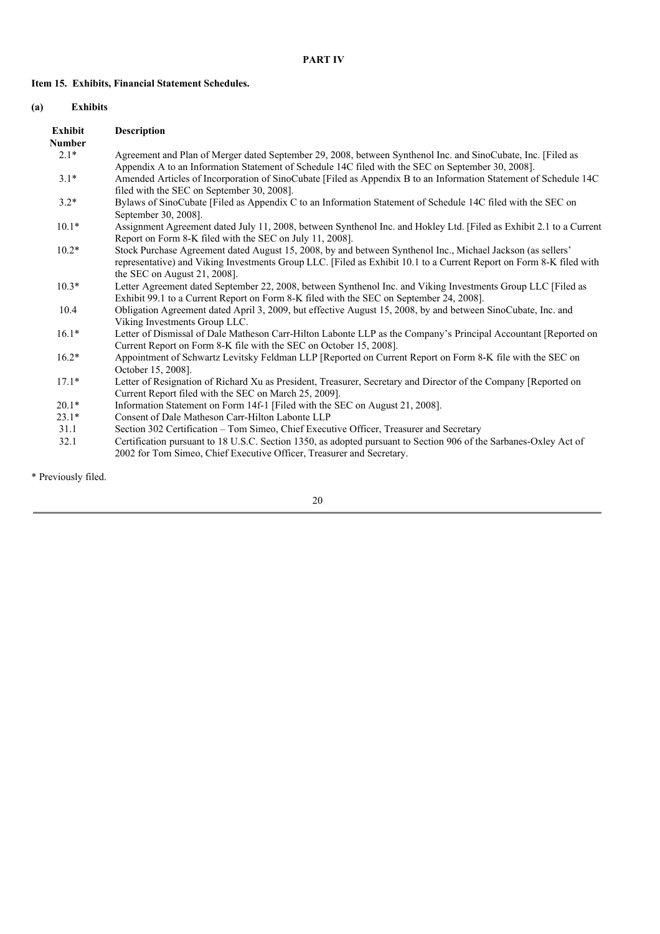## **Item 15. Exhibits, Financial Statement Schedules.**

### **(a) Exhibits**

| <b>Description</b>                                                                                                                                                                                                                                                 |
|--------------------------------------------------------------------------------------------------------------------------------------------------------------------------------------------------------------------------------------------------------------------|
|                                                                                                                                                                                                                                                                    |
| Agreement and Plan of Merger dated September 29, 2008, between Synthenol Inc. and SinoCubate, Inc. [Filed as<br>Appendix A to an Information Statement of Schedule 14C filed with the SEC on September 30, 2008].                                                  |
| Amended Articles of Incorporation of SinoCubate [Filed as Appendix B to an Information Statement of Schedule 14C<br>filed with the SEC on September 30, 2008].                                                                                                     |
| Bylaws of SinoCubate [Filed as Appendix C to an Information Statement of Schedule 14C filed with the SEC on<br>September 30, 2008].                                                                                                                                |
| Assignment Agreement dated July 11, 2008, between Synthenol Inc. and Hokley Ltd. [Filed as Exhibit 2.1 to a Current<br>Report on Form 8-K filed with the SEC on July 11, 2008].                                                                                    |
| Stock Purchase Agreement dated August 15, 2008, by and between Synthenol Inc., Michael Jackson (as sellers'<br>representative) and Viking Investments Group LLC. [Filed as Exhibit 10.1 to a Current Report on Form 8-K filed with<br>the SEC on August 21, 2008]. |
| Letter Agreement dated September 22, 2008, between Synthenol Inc. and Viking Investments Group LLC [Filed as<br>Exhibit 99.1 to a Current Report on Form 8-K filed with the SEC on September 24, 2008].                                                            |
| Obligation Agreement dated April 3, 2009, but effective August 15, 2008, by and between SinoCubate, Inc. and<br>Viking Investments Group LLC.                                                                                                                      |
| Letter of Dismissal of Dale Matheson Carr-Hilton Labonte LLP as the Company's Principal Accountant [Reported on<br>Current Report on Form 8-K file with the SEC on October 15, 2008].                                                                              |
| Appointment of Schwartz Levitsky Feldman LLP [Reported on Current Report on Form 8-K file with the SEC on<br>October 15, 2008].                                                                                                                                    |
| Letter of Resignation of Richard Xu as President, Treasurer, Secretary and Director of the Company [Reported on<br>Current Report filed with the SEC on March 25, 2009].                                                                                           |
| Information Statement on Form 14f-1 [Filed with the SEC on August 21, 2008].                                                                                                                                                                                       |
| Consent of Dale Matheson Carr-Hilton Labonte LLP                                                                                                                                                                                                                   |
| Section 302 Certification – Tom Simeo, Chief Executive Officer, Treasurer and Secretary                                                                                                                                                                            |
| Certification pursuant to 18 U.S.C. Section 1350, as adopted pursuant to Section 906 of the Sarbanes-Oxley Act of<br>2002 for Tom Simeo, Chief Executive Officer, Treasurer and Secretary.                                                                         |
|                                                                                                                                                                                                                                                                    |

\* Previously filed.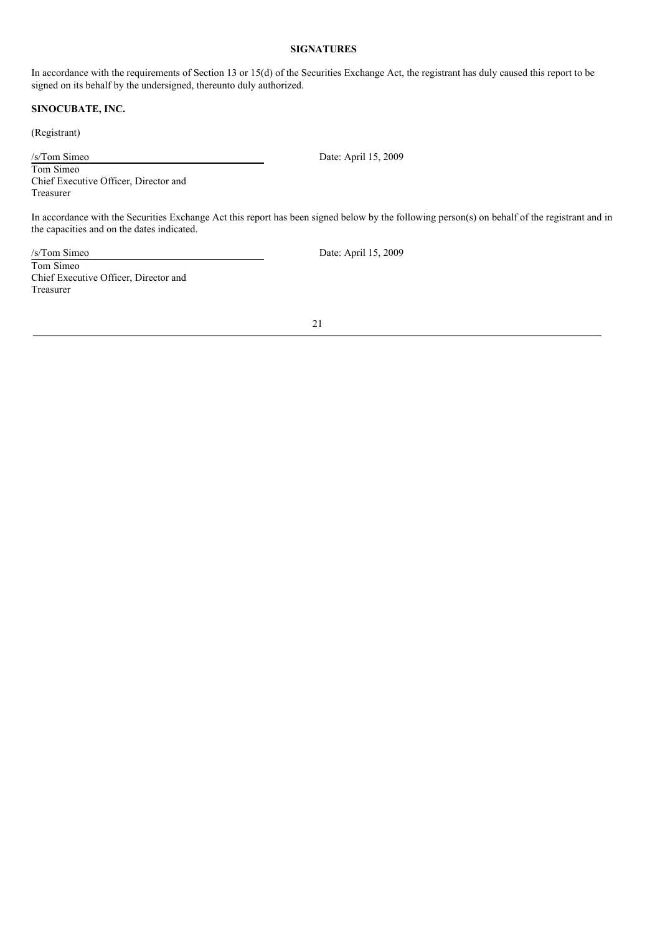### **SIGNATURES**

In accordance with the requirements of Section 13 or 15(d) of the Securities Exchange Act, the registrant has duly caused this report to be signed on its behalf by the undersigned, thereunto duly authorized.

### **SINOCUBATE, INC.**

(Registrant)

/s/Tom Simeo Date: April 15, 2009

Tom Simeo Chief Executive Officer, Director and Treasurer

In accordance with the Securities Exchange Act this report has been signed below by the following person(s) on behalf of the registrant and in the capacities and on the dates indicated.

/s/Tom Simeo Date: April 15, 2009 Tom Simeo Chief Executive Officer, Director and Treasurer

21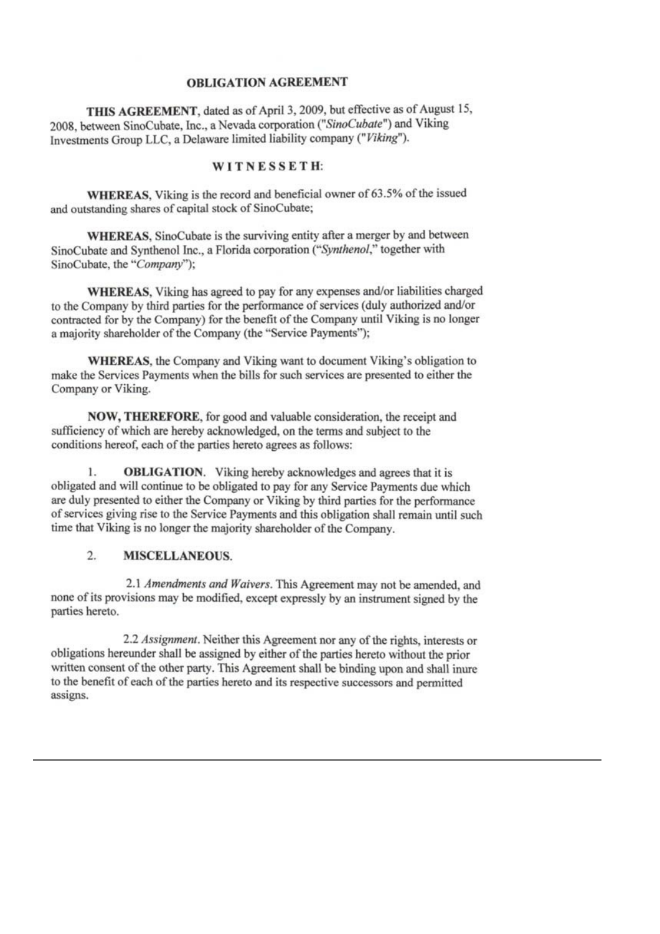## **OBLIGATION AGREEMENT**

THIS AGREEMENT, dated as of April 3, 2009, but effective as of August 15, 2008, between SinoCubate, Inc., a Nevada corporation ("SinoCubate") and Viking Investments Group LLC, a Delaware limited liability company ("Viking").

## WITNESSETH:

WHEREAS, Viking is the record and beneficial owner of 63.5% of the issued and outstanding shares of capital stock of SinoCubate;

WHEREAS, SinoCubate is the surviving entity after a merger by and between SinoCubate and Synthenol Inc., a Florida corporation ("Synthenol," together with SinoCubate, the "Company");

WHEREAS, Viking has agreed to pay for any expenses and/or liabilities charged to the Company by third parties for the performance of services (duly authorized and/or contracted for by the Company) for the benefit of the Company until Viking is no longer a majority shareholder of the Company (the "Service Payments");

**WHEREAS**, the Company and Viking want to document Viking's obligation to make the Services Payments when the bills for such services are presented to either the Company or Viking.

**NOW, THEREFORE**, for good and valuable consideration, the receipt and sufficiency of which are hereby acknowledged, on the terms and subject to the conditions hereof, each of the parties hereto agrees as follows:

1. **OBLIGATION.** Viking hereby acknowledges and agrees that it is obligated and will continue to be obligated to pay for any Service Payments due which are duly presented to either the Company or Viking by third parties for the performance of services giving rise to the Service Payments and this obligation shall remain until such time that Viking is no longer the majority shareholder of the Company.

#### $\overline{2}$ . **MISCELLANEOUS.**

2.1 Amendments and Waivers. This Agreement may not be amended, and none of its provisions may be modified, except expressly by an instrument signed by the parties hereto.

2.2 Assignment. Neither this Agreement nor any of the rights, interests or obligations hereunder shall be assigned by either of the parties hereto without the prior written consent of the other party. This Agreement shall be binding upon and shall inure to the benefit of each of the parties hereto and its respective successors and permitted assigns.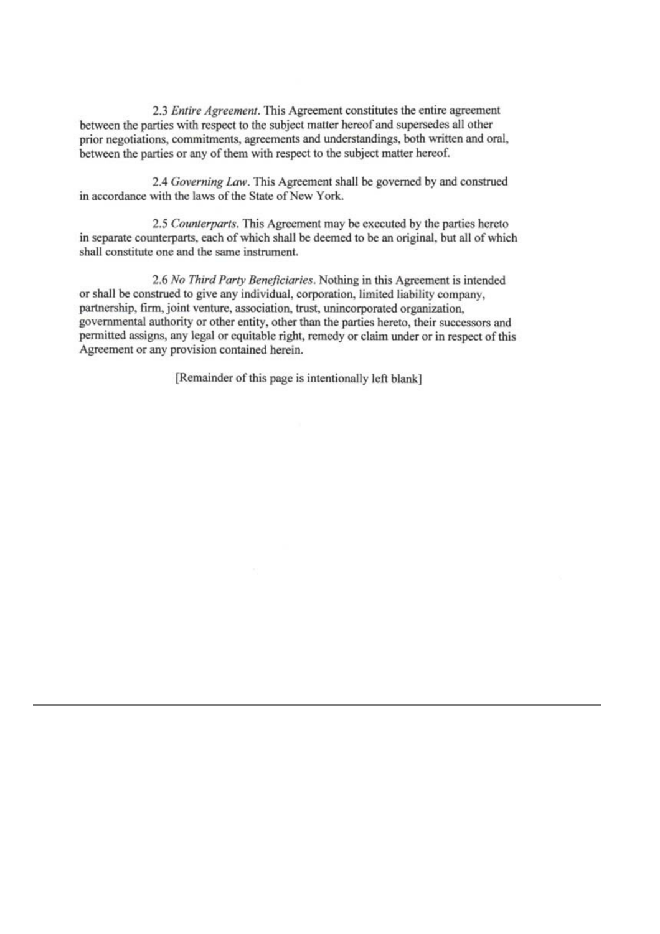2.3 Entire Agreement. This Agreement constitutes the entire agreement between the parties with respect to the subject matter hereof and supersedes all other prior negotiations, commitments, agreements and understandings, both written and oral, between the parties or any of them with respect to the subject matter hereof.

2.4 Governing Law. This Agreement shall be governed by and construed in accordance with the laws of the State of New York.

2.5 Counterparts. This Agreement may be executed by the parties hereto in separate counterparts, each of which shall be deemed to be an original, but all of which shall constitute one and the same instrument.

2.6 No Third Party Beneficiaries. Nothing in this Agreement is intended or shall be construed to give any individual, corporation, limited liability company, partnership, firm, joint venture, association, trust, unincorporated organization, governmental authority or other entity, other than the parties hereto, their successors and permitted assigns, any legal or equitable right, remedy or claim under or in respect of this Agreement or any provision contained herein.

[Remainder of this page is intentionally left blank]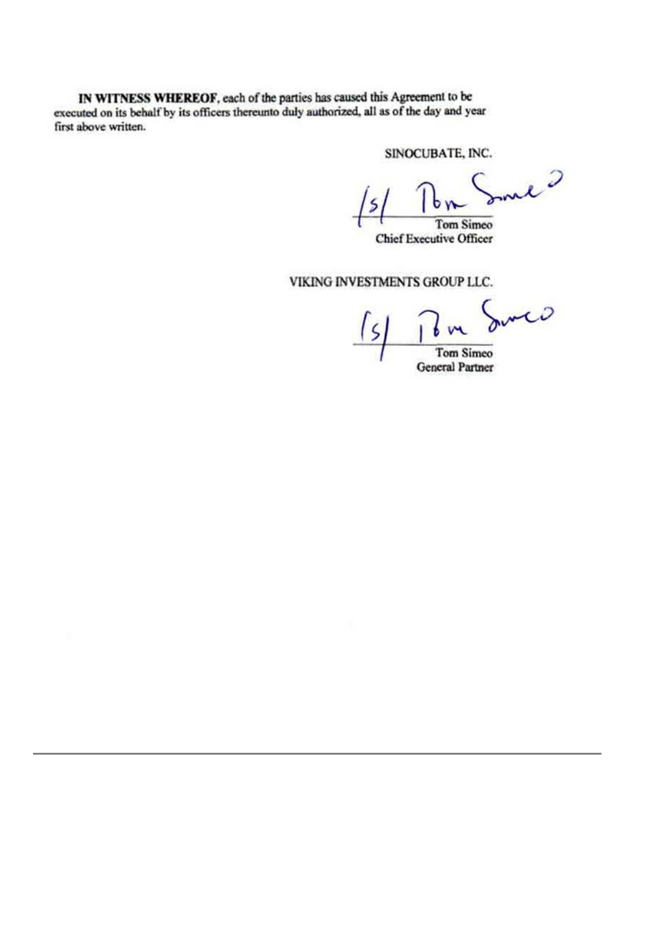IN WITNESS WHEREOF, each of the parties has caused this Agreement to be executed on its behalf by its officers thereunto duly authorized, all as of the day and year first above written.

SINOCUBATE, INC.

Incl ?

Tom Simeo **Chief Executive Officer** 

VIKING INVESTMENTS GROUP LLC.

June

**Tom Simeo General Partner**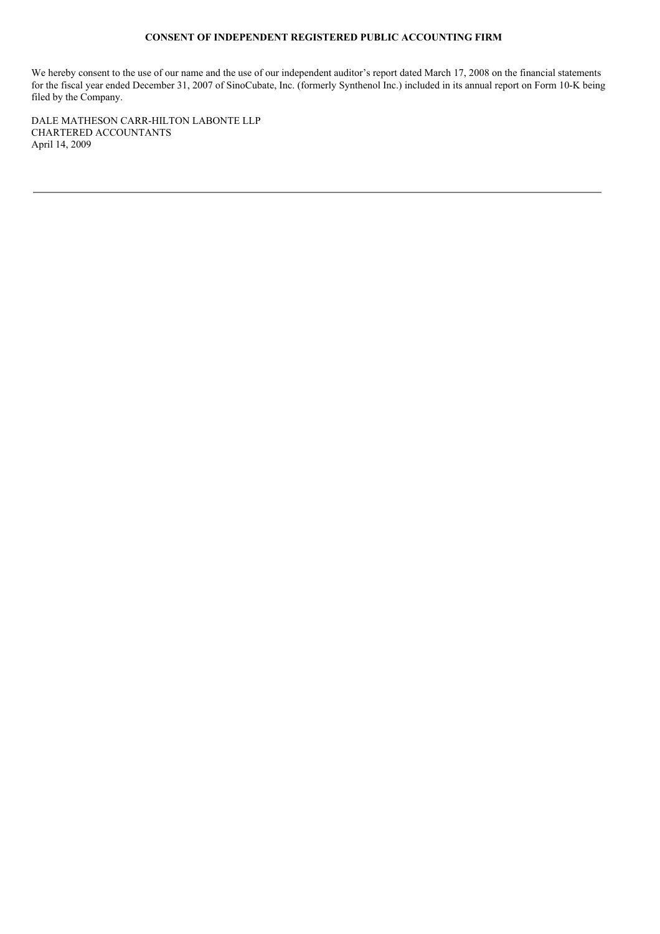### **CONSENT OF INDEPENDENT REGISTERED PUBLIC ACCOUNTING FIRM**

We hereby consent to the use of our name and the use of our independent auditor's report dated March 17, 2008 on the financial statements for the fiscal year ended December 31, 2007 of SinoCubate, Inc. (formerly Synthenol Inc.) included in its annual report on Form 10-K being filed by the Company.

DALE MATHESON CARR-HILTON LABONTE LLP CHARTERED ACCOUNTANTS April 14, 2009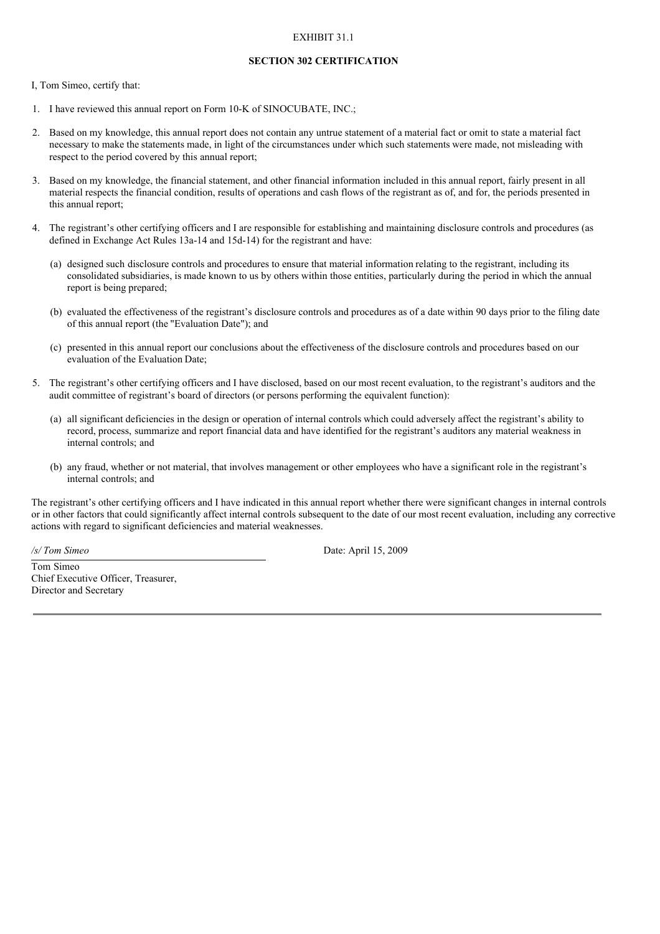### EXHIBIT 31.1

#### **SECTION 302 CERTIFICATION**

I, Tom Simeo, certify that:

- 1. I have reviewed this annual report on Form 10-K of SINOCUBATE, INC.;
- 2. Based on my knowledge, this annual report does not contain any untrue statement of a material fact or omit to state a material fact necessary to make the statements made, in light of the circumstances under which such statements were made, not misleading with respect to the period covered by this annual report;
- 3. Based on my knowledge, the financial statement, and other financial information included in this annual report, fairly present in all material respects the financial condition, results of operations and cash flows of the registrant as of, and for, the periods presented in this annual report;
- 4. The registrant's other certifying officers and I are responsible for establishing and maintaining disclosure controls and procedures (as defined in Exchange Act Rules 13a-14 and 15d-14) for the registrant and have:
	- (a) designed such disclosure controls and procedures to ensure that material information relating to the registrant, including its consolidated subsidiaries, is made known to us by others within those entities, particularly during the period in which the annual report is being prepared;
	- (b) evaluated the effectiveness of the registrant's disclosure controls and procedures as of a date within 90 days prior to the filing date of this annual report (the "Evaluation Date"); and
	- (c) presented in this annual report our conclusions about the effectiveness of the disclosure controls and procedures based on our evaluation of the Evaluation Date;
- 5. The registrant's other certifying officers and I have disclosed, based on our most recent evaluation, to the registrant's auditors and the audit committee of registrant's board of directors (or persons performing the equivalent function):
	- (a) all significant deficiencies in the design or operation of internal controls which could adversely affect the registrant's ability to record, process, summarize and report financial data and have identified for the registrant's auditors any material weakness in internal controls; and
	- (b) any fraud, whether or not material, that involves management or other employees who have a significant role in the registrant's internal controls; and

The registrant's other certifying officers and I have indicated in this annual report whether there were significant changes in internal controls or in other factors that could significantly affect internal controls subsequent to the date of our most recent evaluation, including any corrective actions with regard to significant deficiencies and material weaknesses.

*/s/ Tom Simeo* Date: April 15, 2009

Tom Simeo Chief Executive Officer, Treasurer, Director and Secretary